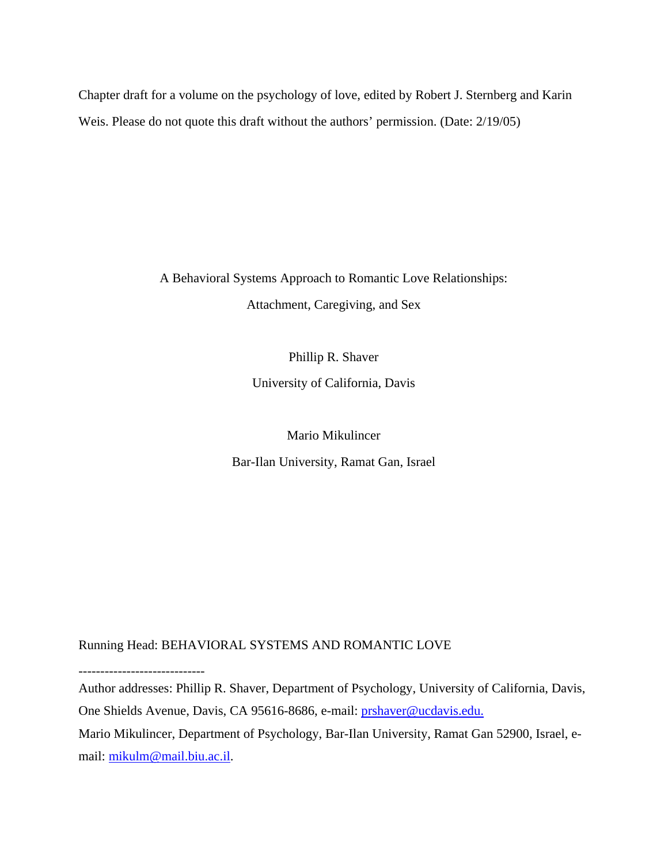Chapter draft for a volume on the psychology of love, edited by Robert J. Sternberg and Karin Weis. Please do not quote this draft without the authors' permission. (Date: 2/19/05)

> A Behavioral Systems Approach to Romantic Love Relationships: Attachment, Caregiving, and Sex

> > Phillip R. Shaver University of California, Davis

> > > Mario Mikulincer

Bar-Ilan University, Ramat Gan, Israel

Running Head: BEHAVIORAL SYSTEMS AND ROMANTIC LOVE

*-----------------------------* 

Author addresses: Phillip R. Shaver, Department of Psychology, University of California, Davis, One Shields Avenue, Davis, CA 95616-8686, e-mail: [prshaver@ucdavis.edu.](mailto:prshaver@ucdavis.edu)

Mario Mikulincer, Department of Psychology, Bar-Ilan University, Ramat Gan 52900, Israel, email: [mikulm@mail.biu.ac.il](mailto:mikulm@mail.biu.ac.il).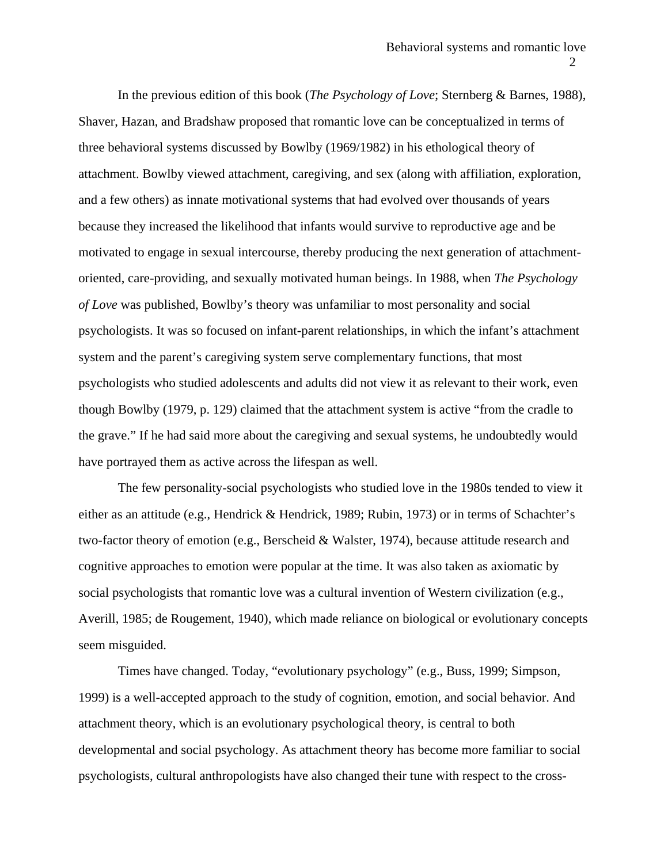In the previous edition of this book (*The Psychology of Love*; Sternberg & Barnes, 1988), Shaver, Hazan, and Bradshaw proposed that romantic love can be conceptualized in terms of three behavioral systems discussed by Bowlby (1969/1982) in his ethological theory of attachment. Bowlby viewed attachment, caregiving, and sex (along with affiliation, exploration, and a few others) as innate motivational systems that had evolved over thousands of years because they increased the likelihood that infants would survive to reproductive age and be motivated to engage in sexual intercourse, thereby producing the next generation of attachmentoriented, care-providing, and sexually motivated human beings. In 1988, when *The Psychology of Love* was published, Bowlby's theory was unfamiliar to most personality and social psychologists. It was so focused on infant-parent relationships, in which the infant's attachment system and the parent's caregiving system serve complementary functions, that most psychologists who studied adolescents and adults did not view it as relevant to their work, even though Bowlby (1979, p. 129) claimed that the attachment system is active "from the cradle to the grave." If he had said more about the caregiving and sexual systems, he undoubtedly would have portrayed them as active across the lifespan as well.

The few personality-social psychologists who studied love in the 1980s tended to view it either as an attitude (e.g., Hendrick & Hendrick, 1989; Rubin, 1973) or in terms of Schachter's two-factor theory of emotion (e.g., Berscheid & Walster, 1974), because attitude research and cognitive approaches to emotion were popular at the time. It was also taken as axiomatic by social psychologists that romantic love was a cultural invention of Western civilization (e.g., Averill, 1985; de Rougement, 1940), which made reliance on biological or evolutionary concepts seem misguided.

Times have changed. Today, "evolutionary psychology" (e.g., Buss, 1999; Simpson, 1999) is a well-accepted approach to the study of cognition, emotion, and social behavior. And attachment theory, which is an evolutionary psychological theory, is central to both developmental and social psychology. As attachment theory has become more familiar to social psychologists, cultural anthropologists have also changed their tune with respect to the cross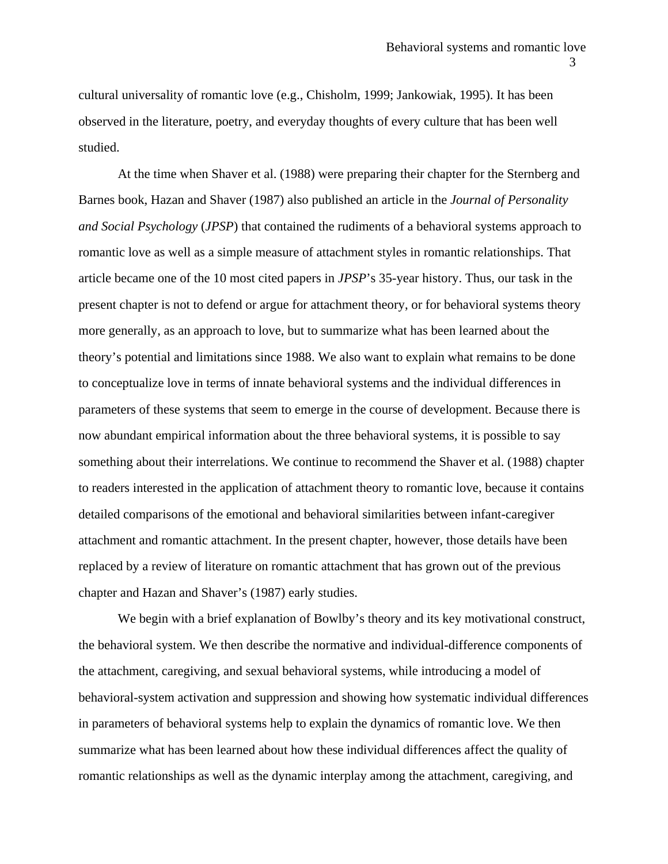cultural universality of romantic love (e.g., Chisholm, 1999; Jankowiak, 1995). It has been observed in the literature, poetry, and everyday thoughts of every culture that has been well studied.

At the time when Shaver et al. (1988) were preparing their chapter for the Sternberg and Barnes book, Hazan and Shaver (1987) also published an article in the *Journal of Personality and Social Psychology* (*JPSP*) that contained the rudiments of a behavioral systems approach to romantic love as well as a simple measure of attachment styles in romantic relationships. That article became one of the 10 most cited papers in *JPSP*'s 35-year history. Thus, our task in the present chapter is not to defend or argue for attachment theory, or for behavioral systems theory more generally, as an approach to love, but to summarize what has been learned about the theory's potential and limitations since 1988. We also want to explain what remains to be done to conceptualize love in terms of innate behavioral systems and the individual differences in parameters of these systems that seem to emerge in the course of development. Because there is now abundant empirical information about the three behavioral systems, it is possible to say something about their interrelations. We continue to recommend the Shaver et al. (1988) chapter to readers interested in the application of attachment theory to romantic love, because it contains detailed comparisons of the emotional and behavioral similarities between infant-caregiver attachment and romantic attachment. In the present chapter, however, those details have been replaced by a review of literature on romantic attachment that has grown out of the previous chapter and Hazan and Shaver's (1987) early studies.

We begin with a brief explanation of Bowlby's theory and its key motivational construct, the behavioral system. We then describe the normative and individual-difference components of the attachment, caregiving, and sexual behavioral systems, while introducing a model of behavioral-system activation and suppression and showing how systematic individual differences in parameters of behavioral systems help to explain the dynamics of romantic love. We then summarize what has been learned about how these individual differences affect the quality of romantic relationships as well as the dynamic interplay among the attachment, caregiving, and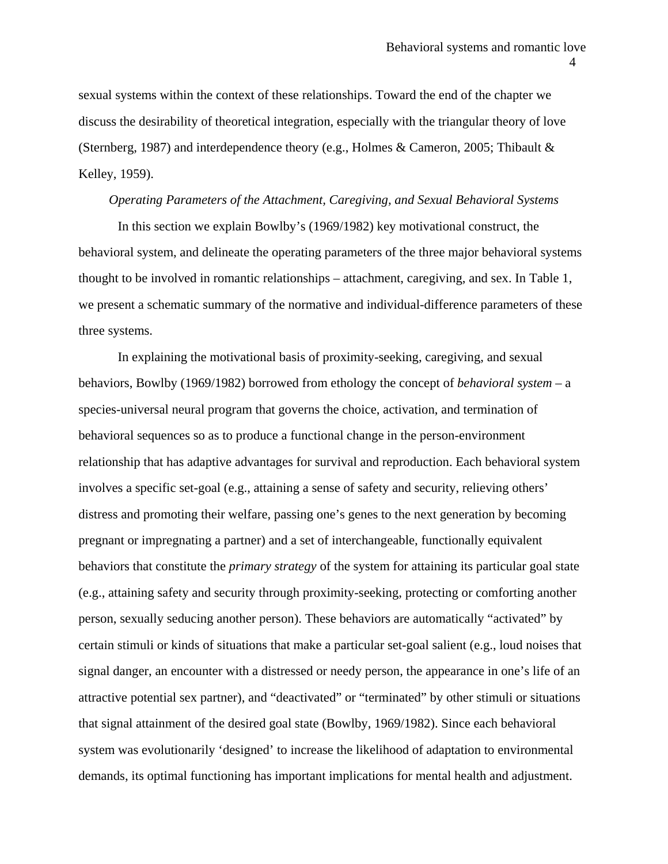sexual systems within the context of these relationships. Toward the end of the chapter we discuss the desirability of theoretical integration, especially with the triangular theory of love (Sternberg, 1987) and interdependence theory (e.g., Holmes & Cameron, 2005; Thibault & Kelley, 1959).

*Operating Parameters of the Attachment, Caregiving, and Sexual Behavioral Systems* 

In this section we explain Bowlby's (1969/1982) key motivational construct, the behavioral system, and delineate the operating parameters of the three major behavioral systems thought to be involved in romantic relationships – attachment, caregiving, and sex. In Table 1, we present a schematic summary of the normative and individual-difference parameters of these three systems.

In explaining the motivational basis of proximity-seeking, caregiving, and sexual behaviors, Bowlby (1969/1982) borrowed from ethology the concept of *behavioral system* – a species-universal neural program that governs the choice, activation, and termination of behavioral sequences so as to produce a functional change in the person-environment relationship that has adaptive advantages for survival and reproduction. Each behavioral system involves a specific set-goal (e.g., attaining a sense of safety and security, relieving others' distress and promoting their welfare, passing one's genes to the next generation by becoming pregnant or impregnating a partner) and a set of interchangeable, functionally equivalent behaviors that constitute the *primary strategy* of the system for attaining its particular goal state (e.g., attaining safety and security through proximity-seeking, protecting or comforting another person, sexually seducing another person). These behaviors are automatically "activated" by certain stimuli or kinds of situations that make a particular set-goal salient (e.g., loud noises that signal danger, an encounter with a distressed or needy person, the appearance in one's life of an attractive potential sex partner), and "deactivated" or "terminated" by other stimuli or situations that signal attainment of the desired goal state (Bowlby, 1969/1982). Since each behavioral system was evolutionarily 'designed' to increase the likelihood of adaptation to environmental demands, its optimal functioning has important implications for mental health and adjustment.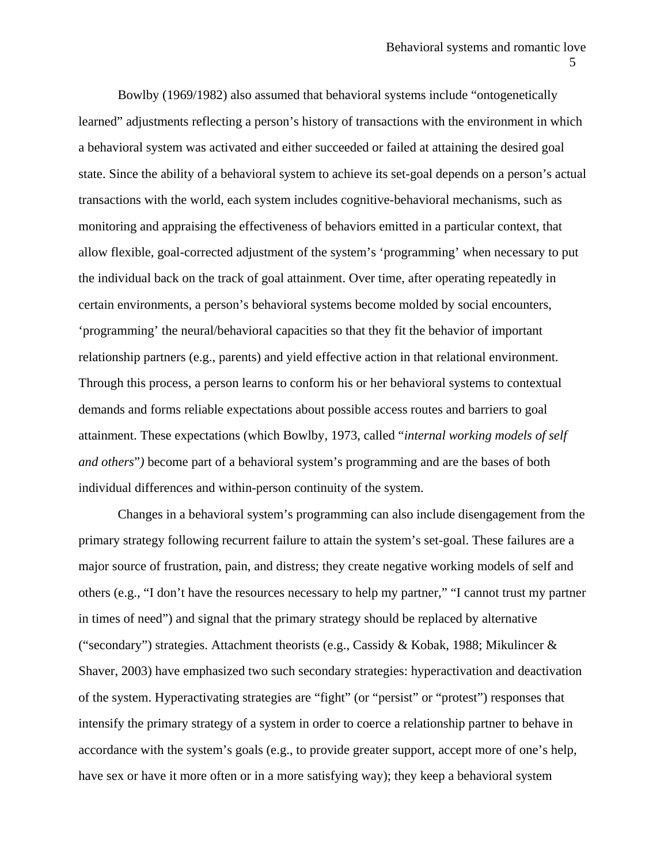Bowlby (1969/1982) also assumed that behavioral systems include "ontogenetically learned" adjustments reflecting a person's history of transactions with the environment in which a behavioral system was activated and either succeeded or failed at attaining the desired goal state. Since the ability of a behavioral system to achieve its set-goal depends on a person's actual transactions with the world, each system includes cognitive-behavioral mechanisms, such as monitoring and appraising the effectiveness of behaviors emitted in a particular context, that allow flexible, goal-corrected adjustment of the system's 'programming' when necessary to put the individual back on the track of goal attainment. Over time, after operating repeatedly in certain environments, a person's behavioral systems become molded by social encounters, 'programming' the neural/behavioral capacities so that they fit the behavior of important relationship partners (e.g., parents) and yield effective action in that relational environment. Through this process, a person learns to conform his or her behavioral systems to contextual demands and forms reliable expectations about possible access routes and barriers to goal attainment. These expectations (which Bowlby, 1973, called "*internal working models of self and others*"*)* become part of a behavioral system's programming and are the bases of both individual differences and within-person continuity of the system.

Changes in a behavioral system's programming can also include disengagement from the primary strategy following recurrent failure to attain the system's set-goal. These failures are a major source of frustration, pain, and distress; they create negative working models of self and others (e.g., "I don't have the resources necessary to help my partner," "I cannot trust my partner in times of need") and signal that the primary strategy should be replaced by alternative ("secondary") strategies. Attachment theorists (e.g., Cassidy & Kobak, 1988; Mikulincer & Shaver, 2003) have emphasized two such secondary strategies: hyperactivation and deactivation of the system. Hyperactivating strategies are "fight" (or "persist" or "protest") responses that intensify the primary strategy of a system in order to coerce a relationship partner to behave in accordance with the system's goals (e.g., to provide greater support, accept more of one's help, have sex or have it more often or in a more satisfying way); they keep a behavioral system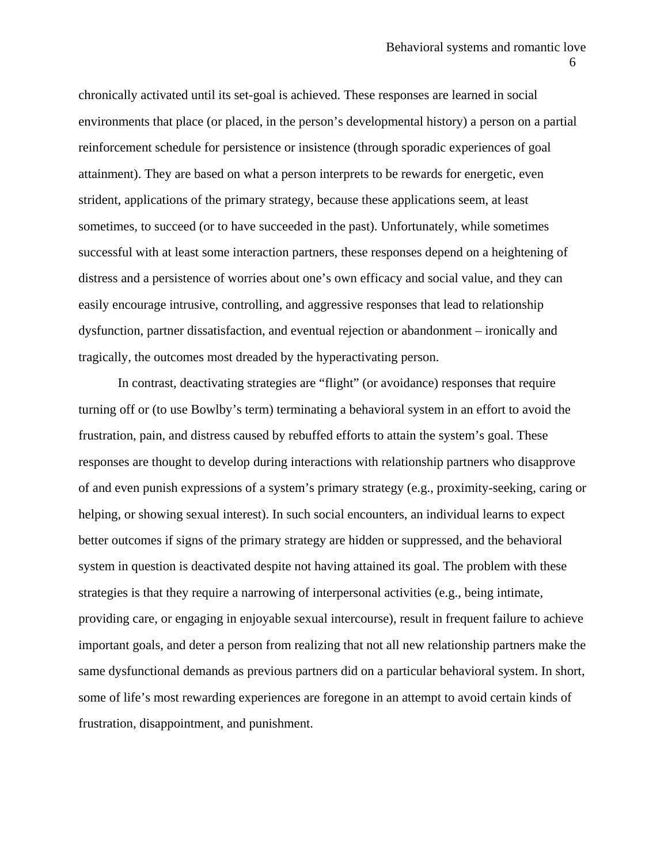chronically activated until its set-goal is achieved. These responses are learned in social environments that place (or placed, in the person's developmental history) a person on a partial reinforcement schedule for persistence or insistence (through sporadic experiences of goal attainment). They are based on what a person interprets to be rewards for energetic, even strident, applications of the primary strategy, because these applications seem, at least sometimes, to succeed (or to have succeeded in the past). Unfortunately, while sometimes successful with at least some interaction partners, these responses depend on a heightening of distress and a persistence of worries about one's own efficacy and social value, and they can easily encourage intrusive, controlling, and aggressive responses that lead to relationship dysfunction, partner dissatisfaction, and eventual rejection or abandonment – ironically and tragically, the outcomes most dreaded by the hyperactivating person.

In contrast, deactivating strategies are "flight" (or avoidance) responses that require turning off or (to use Bowlby's term) terminating a behavioral system in an effort to avoid the frustration, pain, and distress caused by rebuffed efforts to attain the system's goal. These responses are thought to develop during interactions with relationship partners who disapprove of and even punish expressions of a system's primary strategy (e.g., proximity-seeking, caring or helping, or showing sexual interest). In such social encounters, an individual learns to expect better outcomes if signs of the primary strategy are hidden or suppressed, and the behavioral system in question is deactivated despite not having attained its goal. The problem with these strategies is that they require a narrowing of interpersonal activities (e.g., being intimate, providing care, or engaging in enjoyable sexual intercourse), result in frequent failure to achieve important goals, and deter a person from realizing that not all new relationship partners make the same dysfunctional demands as previous partners did on a particular behavioral system. In short, some of life's most rewarding experiences are foregone in an attempt to avoid certain kinds of frustration, disappointment, and punishment.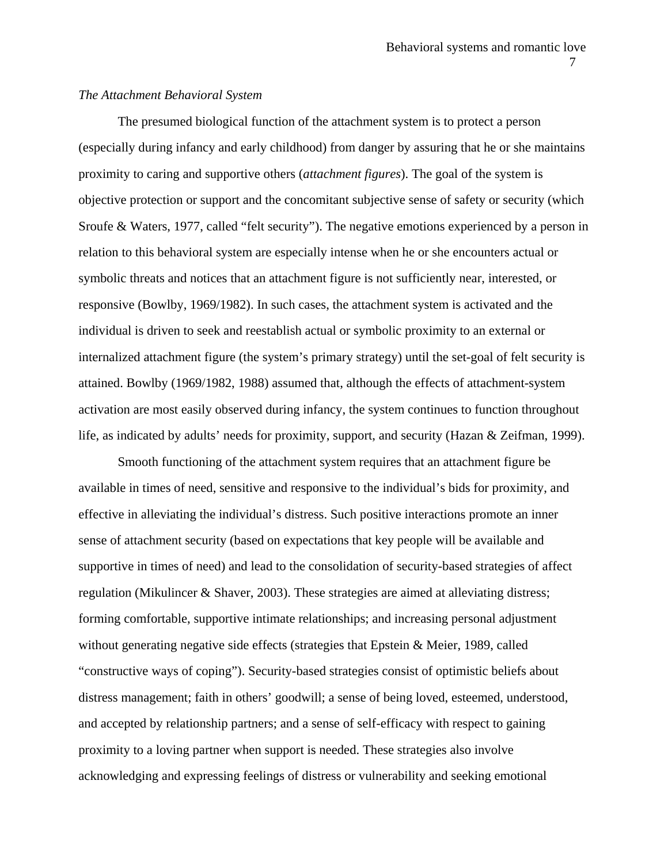## *The Attachment Behavioral System*

The presumed biological function of the attachment system is to protect a person (especially during infancy and early childhood) from danger by assuring that he or she maintains proximity to caring and supportive others (*attachment figures*). The goal of the system is objective protection or support and the concomitant subjective sense of safety or security (which Sroufe & Waters, 1977, called "felt security"). The negative emotions experienced by a person in relation to this behavioral system are especially intense when he or she encounters actual or symbolic threats and notices that an attachment figure is not sufficiently near, interested, or responsive (Bowlby, 1969/1982). In such cases, the attachment system is activated and the individual is driven to seek and reestablish actual or symbolic proximity to an external or internalized attachment figure (the system's primary strategy) until the set-goal of felt security is attained. Bowlby (1969/1982, 1988) assumed that, although the effects of attachment-system activation are most easily observed during infancy, the system continues to function throughout life, as indicated by adults' needs for proximity, support, and security (Hazan & Zeifman, 1999).

Smooth functioning of the attachment system requires that an attachment figure be available in times of need, sensitive and responsive to the individual's bids for proximity, and effective in alleviating the individual's distress. Such positive interactions promote an inner sense of attachment security (based on expectations that key people will be available and supportive in times of need) and lead to the consolidation of security-based strategies of affect regulation (Mikulincer & Shaver, 2003). These strategies are aimed at alleviating distress; forming comfortable, supportive intimate relationships; and increasing personal adjustment without generating negative side effects (strategies that Epstein & Meier, 1989, called "constructive ways of coping"). Security-based strategies consist of optimistic beliefs about distress management; faith in others' goodwill; a sense of being loved, esteemed, understood, and accepted by relationship partners; and a sense of self-efficacy with respect to gaining proximity to a loving partner when support is needed. These strategies also involve acknowledging and expressing feelings of distress or vulnerability and seeking emotional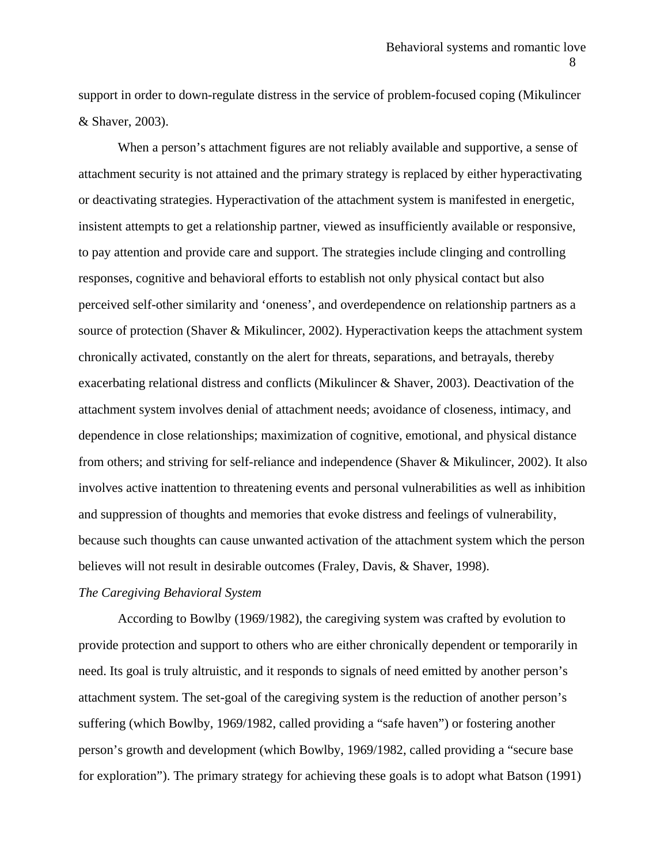support in order to down-regulate distress in the service of problem-focused coping (Mikulincer & Shaver, 2003).

When a person's attachment figures are not reliably available and supportive, a sense of attachment security is not attained and the primary strategy is replaced by either hyperactivating or deactivating strategies. Hyperactivation of the attachment system is manifested in energetic, insistent attempts to get a relationship partner, viewed as insufficiently available or responsive, to pay attention and provide care and support. The strategies include clinging and controlling responses, cognitive and behavioral efforts to establish not only physical contact but also perceived self-other similarity and 'oneness', and overdependence on relationship partners as a source of protection (Shaver & Mikulincer, 2002). Hyperactivation keeps the attachment system chronically activated, constantly on the alert for threats, separations, and betrayals, thereby exacerbating relational distress and conflicts (Mikulincer & Shaver, 2003). Deactivation of the attachment system involves denial of attachment needs; avoidance of closeness, intimacy, and dependence in close relationships; maximization of cognitive, emotional, and physical distance from others; and striving for self-reliance and independence (Shaver & Mikulincer, 2002). It also involves active inattention to threatening events and personal vulnerabilities as well as inhibition and suppression of thoughts and memories that evoke distress and feelings of vulnerability, because such thoughts can cause unwanted activation of the attachment system which the person believes will not result in desirable outcomes (Fraley, Davis, & Shaver, 1998).

#### *The Caregiving Behavioral System*

According to Bowlby (1969/1982), the caregiving system was crafted by evolution to provide protection and support to others who are either chronically dependent or temporarily in need. Its goal is truly altruistic, and it responds to signals of need emitted by another person's attachment system. The set-goal of the caregiving system is the reduction of another person's suffering (which Bowlby, 1969/1982, called providing a "safe haven") or fostering another person's growth and development (which Bowlby, 1969/1982, called providing a "secure base for exploration"). The primary strategy for achieving these goals is to adopt what Batson (1991)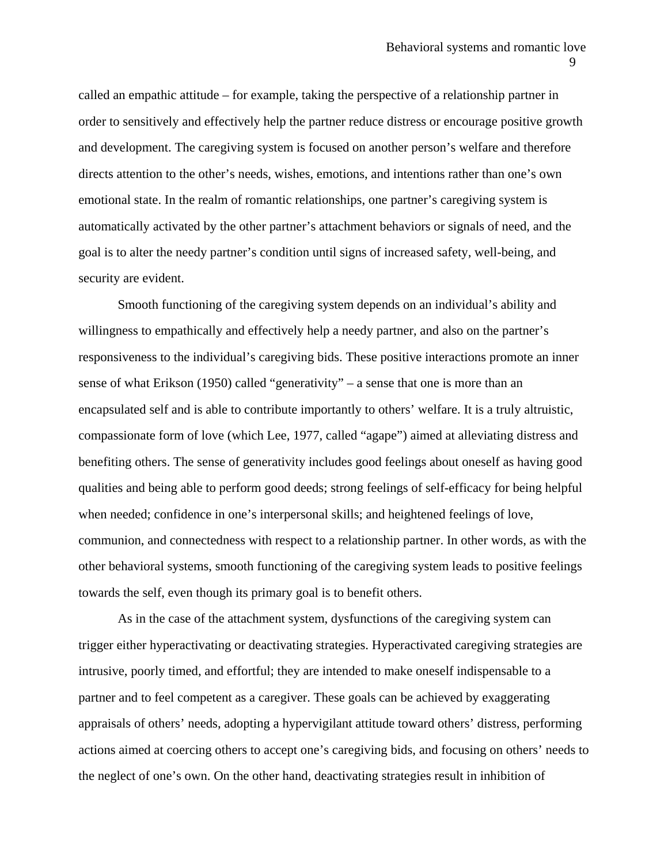called an empathic attitude – for example, taking the perspective of a relationship partner in order to sensitively and effectively help the partner reduce distress or encourage positive growth and development. The caregiving system is focused on another person's welfare and therefore directs attention to the other's needs, wishes, emotions, and intentions rather than one's own emotional state. In the realm of romantic relationships, one partner's caregiving system is automatically activated by the other partner's attachment behaviors or signals of need, and the goal is to alter the needy partner's condition until signs of increased safety, well-being, and security are evident.

Smooth functioning of the caregiving system depends on an individual's ability and willingness to empathically and effectively help a needy partner, and also on the partner's responsiveness to the individual's caregiving bids. These positive interactions promote an inner sense of what Erikson (1950) called "generativity" – a sense that one is more than an encapsulated self and is able to contribute importantly to others' welfare. It is a truly altruistic, compassionate form of love (which Lee, 1977, called "agape") aimed at alleviating distress and benefiting others. The sense of generativity includes good feelings about oneself as having good qualities and being able to perform good deeds; strong feelings of self-efficacy for being helpful when needed; confidence in one's interpersonal skills; and heightened feelings of love, communion, and connectedness with respect to a relationship partner. In other words, as with the other behavioral systems, smooth functioning of the caregiving system leads to positive feelings towards the self, even though its primary goal is to benefit others.

As in the case of the attachment system, dysfunctions of the caregiving system can trigger either hyperactivating or deactivating strategies. Hyperactivated caregiving strategies are intrusive, poorly timed, and effortful; they are intended to make oneself indispensable to a partner and to feel competent as a caregiver. These goals can be achieved by exaggerating appraisals of others' needs, adopting a hypervigilant attitude toward others' distress, performing actions aimed at coercing others to accept one's caregiving bids, and focusing on others' needs to the neglect of one's own. On the other hand, deactivating strategies result in inhibition of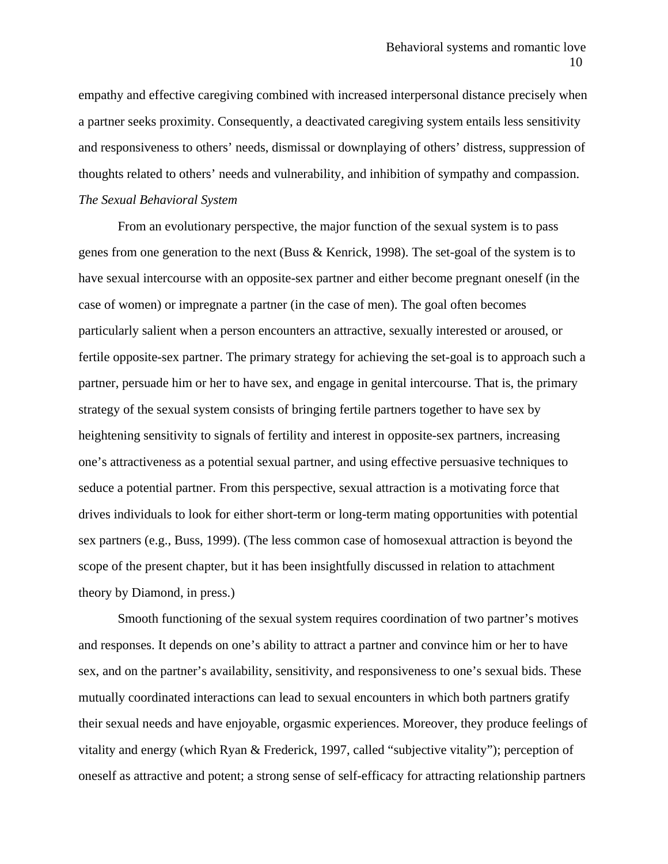empathy and effective caregiving combined with increased interpersonal distance precisely when a partner seeks proximity. Consequently, a deactivated caregiving system entails less sensitivity and responsiveness to others' needs, dismissal or downplaying of others' distress, suppression of thoughts related to others' needs and vulnerability, and inhibition of sympathy and compassion. *The Sexual Behavioral System* 

From an evolutionary perspective, the major function of the sexual system is to pass genes from one generation to the next (Buss & Kenrick, 1998). The set-goal of the system is to have sexual intercourse with an opposite-sex partner and either become pregnant oneself (in the case of women) or impregnate a partner (in the case of men). The goal often becomes particularly salient when a person encounters an attractive, sexually interested or aroused, or fertile opposite-sex partner. The primary strategy for achieving the set-goal is to approach such a partner, persuade him or her to have sex, and engage in genital intercourse. That is, the primary strategy of the sexual system consists of bringing fertile partners together to have sex by heightening sensitivity to signals of fertility and interest in opposite-sex partners, increasing one's attractiveness as a potential sexual partner, and using effective persuasive techniques to seduce a potential partner. From this perspective, sexual attraction is a motivating force that drives individuals to look for either short-term or long-term mating opportunities with potential sex partners (e.g., Buss, 1999). (The less common case of homosexual attraction is beyond the scope of the present chapter, but it has been insightfully discussed in relation to attachment theory by Diamond, in press.)

Smooth functioning of the sexual system requires coordination of two partner's motives and responses. It depends on one's ability to attract a partner and convince him or her to have sex, and on the partner's availability, sensitivity, and responsiveness to one's sexual bids. These mutually coordinated interactions can lead to sexual encounters in which both partners gratify their sexual needs and have enjoyable, orgasmic experiences. Moreover, they produce feelings of vitality and energy (which Ryan & Frederick, 1997, called "subjective vitality"); perception of oneself as attractive and potent; a strong sense of self-efficacy for attracting relationship partners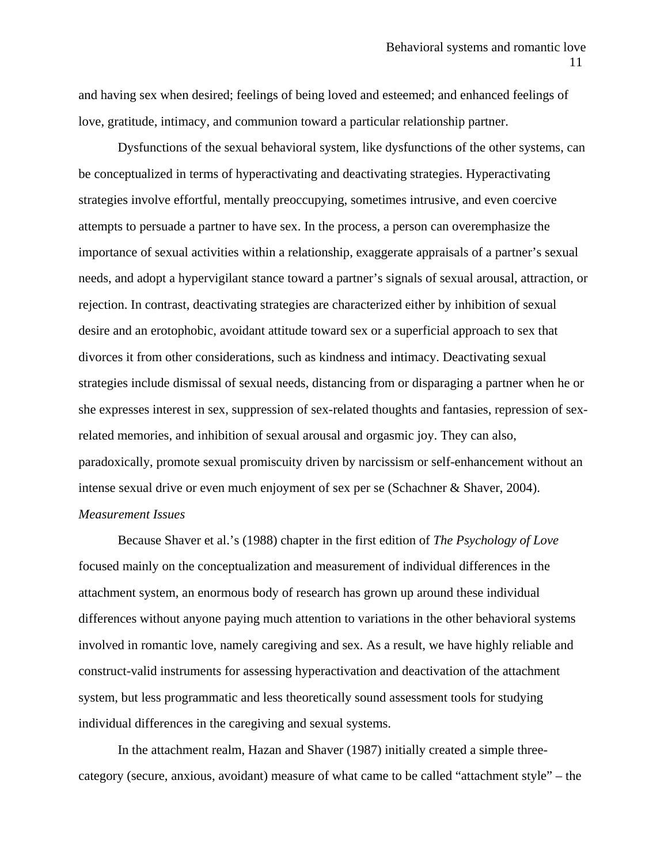and having sex when desired; feelings of being loved and esteemed; and enhanced feelings of love, gratitude, intimacy, and communion toward a particular relationship partner.

Dysfunctions of the sexual behavioral system, like dysfunctions of the other systems, can be conceptualized in terms of hyperactivating and deactivating strategies. Hyperactivating strategies involve effortful, mentally preoccupying, sometimes intrusive, and even coercive attempts to persuade a partner to have sex. In the process, a person can overemphasize the importance of sexual activities within a relationship, exaggerate appraisals of a partner's sexual needs, and adopt a hypervigilant stance toward a partner's signals of sexual arousal, attraction, or rejection. In contrast, deactivating strategies are characterized either by inhibition of sexual desire and an erotophobic, avoidant attitude toward sex or a superficial approach to sex that divorces it from other considerations, such as kindness and intimacy. Deactivating sexual strategies include dismissal of sexual needs, distancing from or disparaging a partner when he or she expresses interest in sex, suppression of sex-related thoughts and fantasies, repression of sexrelated memories, and inhibition of sexual arousal and orgasmic joy. They can also, paradoxically, promote sexual promiscuity driven by narcissism or self-enhancement without an intense sexual drive or even much enjoyment of sex per se (Schachner & Shaver, 2004). *Measurement Issues* 

Because Shaver et al.'s (1988) chapter in the first edition of *The Psychology of Love* focused mainly on the conceptualization and measurement of individual differences in the attachment system, an enormous body of research has grown up around these individual differences without anyone paying much attention to variations in the other behavioral systems involved in romantic love, namely caregiving and sex. As a result, we have highly reliable and construct-valid instruments for assessing hyperactivation and deactivation of the attachment system, but less programmatic and less theoretically sound assessment tools for studying individual differences in the caregiving and sexual systems.

In the attachment realm, Hazan and Shaver (1987) initially created a simple threecategory (secure, anxious, avoidant) measure of what came to be called "attachment style" – the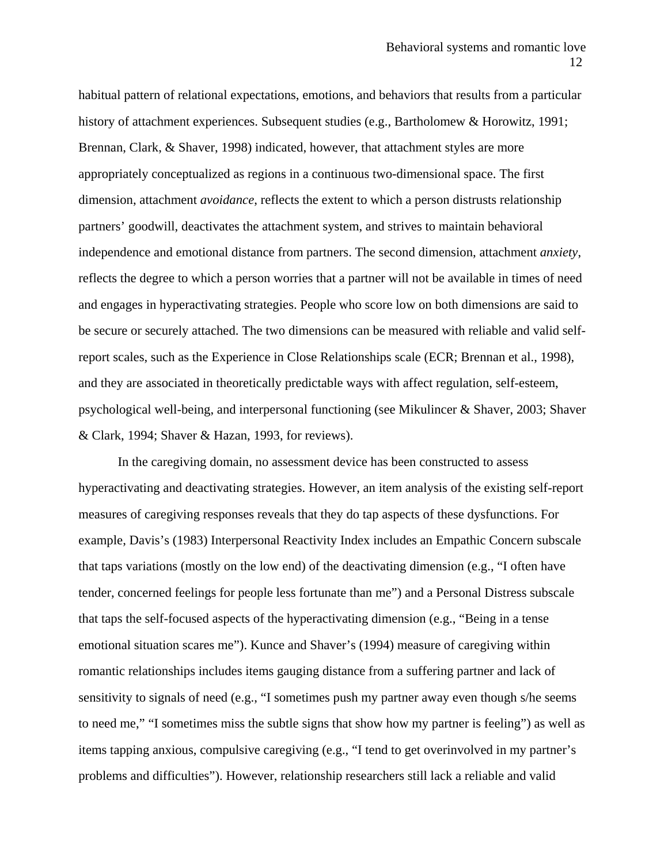habitual pattern of relational expectations, emotions, and behaviors that results from a particular history of attachment experiences. Subsequent studies (e.g., Bartholomew & Horowitz, 1991; Brennan, Clark, & Shaver, 1998) indicated, however, that attachment styles are more appropriately conceptualized as regions in a continuous two-dimensional space. The first dimension, attachment *avoidance*, reflects the extent to which a person distrusts relationship partners' goodwill, deactivates the attachment system, and strives to maintain behavioral independence and emotional distance from partners. The second dimension, attachment *anxiety*, reflects the degree to which a person worries that a partner will not be available in times of need and engages in hyperactivating strategies. People who score low on both dimensions are said to be secure or securely attached. The two dimensions can be measured with reliable and valid selfreport scales, such as the Experience in Close Relationships scale (ECR; Brennan et al., 1998), and they are associated in theoretically predictable ways with affect regulation, self-esteem, psychological well-being, and interpersonal functioning (see Mikulincer & Shaver, 2003; Shaver & Clark, 1994; Shaver & Hazan, 1993, for reviews).

In the caregiving domain, no assessment device has been constructed to assess hyperactivating and deactivating strategies. However, an item analysis of the existing self-report measures of caregiving responses reveals that they do tap aspects of these dysfunctions. For example, Davis's (1983) Interpersonal Reactivity Index includes an Empathic Concern subscale that taps variations (mostly on the low end) of the deactivating dimension (e.g., "I often have tender, concerned feelings for people less fortunate than me") and a Personal Distress subscale that taps the self-focused aspects of the hyperactivating dimension (e.g., "Being in a tense emotional situation scares me"). Kunce and Shaver's (1994) measure of caregiving within romantic relationships includes items gauging distance from a suffering partner and lack of sensitivity to signals of need (e.g., "I sometimes push my partner away even though s/he seems to need me," "I sometimes miss the subtle signs that show how my partner is feeling") as well as items tapping anxious, compulsive caregiving (e.g., "I tend to get overinvolved in my partner's problems and difficulties"). However, relationship researchers still lack a reliable and valid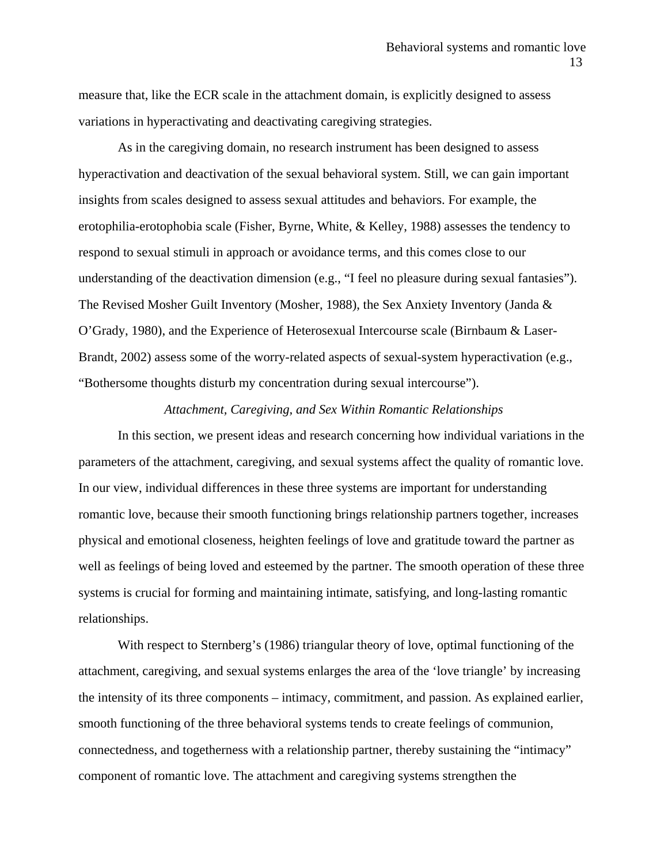measure that, like the ECR scale in the attachment domain, is explicitly designed to assess variations in hyperactivating and deactivating caregiving strategies.

As in the caregiving domain, no research instrument has been designed to assess hyperactivation and deactivation of the sexual behavioral system. Still, we can gain important insights from scales designed to assess sexual attitudes and behaviors. For example, the erotophilia-erotophobia scale (Fisher, Byrne, White, & Kelley, 1988) assesses the tendency to respond to sexual stimuli in approach or avoidance terms, and this comes close to our understanding of the deactivation dimension (e.g., "I feel no pleasure during sexual fantasies"). The Revised Mosher Guilt Inventory (Mosher, 1988), the Sex Anxiety Inventory (Janda & O'Grady, 1980), and the Experience of Heterosexual Intercourse scale (Birnbaum & Laser-Brandt, 2002) assess some of the worry-related aspects of sexual-system hyperactivation (e.g., "Bothersome thoughts disturb my concentration during sexual intercourse").

## *Attachment, Caregiving, and Sex Within Romantic Relationships*

In this section, we present ideas and research concerning how individual variations in the parameters of the attachment, caregiving, and sexual systems affect the quality of romantic love. In our view, individual differences in these three systems are important for understanding romantic love, because their smooth functioning brings relationship partners together, increases physical and emotional closeness, heighten feelings of love and gratitude toward the partner as well as feelings of being loved and esteemed by the partner. The smooth operation of these three systems is crucial for forming and maintaining intimate, satisfying, and long-lasting romantic relationships.

With respect to Sternberg's (1986) triangular theory of love, optimal functioning of the attachment, caregiving, and sexual systems enlarges the area of the 'love triangle' by increasing the intensity of its three components – intimacy, commitment, and passion. As explained earlier, smooth functioning of the three behavioral systems tends to create feelings of communion, connectedness, and togetherness with a relationship partner, thereby sustaining the "intimacy" component of romantic love. The attachment and caregiving systems strengthen the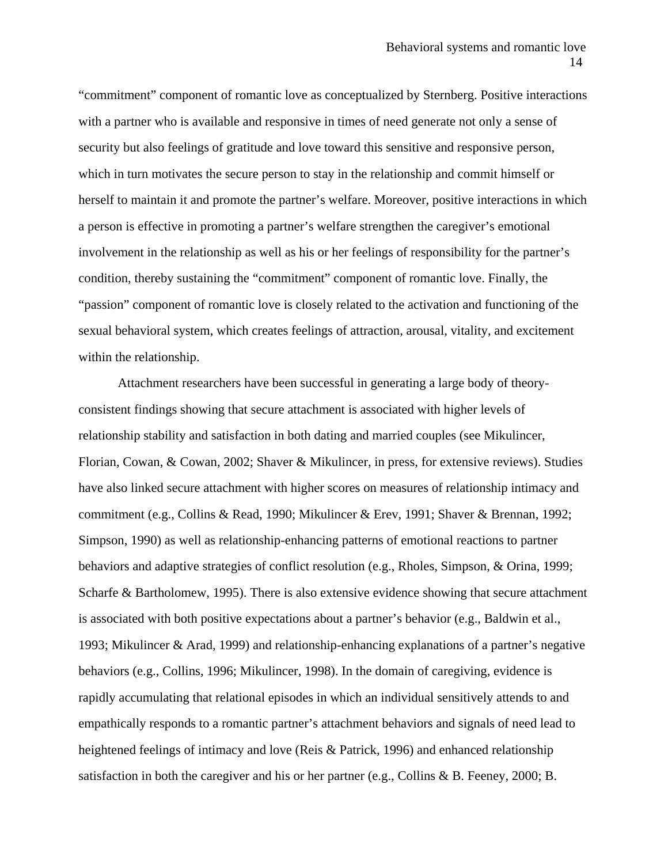"commitment" component of romantic love as conceptualized by Sternberg. Positive interactions with a partner who is available and responsive in times of need generate not only a sense of security but also feelings of gratitude and love toward this sensitive and responsive person, which in turn motivates the secure person to stay in the relationship and commit himself or herself to maintain it and promote the partner's welfare. Moreover, positive interactions in which a person is effective in promoting a partner's welfare strengthen the caregiver's emotional involvement in the relationship as well as his or her feelings of responsibility for the partner's condition, thereby sustaining the "commitment" component of romantic love. Finally, the "passion" component of romantic love is closely related to the activation and functioning of the sexual behavioral system, which creates feelings of attraction, arousal, vitality, and excitement within the relationship.

Attachment researchers have been successful in generating a large body of theoryconsistent findings showing that secure attachment is associated with higher levels of relationship stability and satisfaction in both dating and married couples (see Mikulincer, Florian, Cowan, & Cowan, 2002; Shaver & Mikulincer, in press, for extensive reviews). Studies have also linked secure attachment with higher scores on measures of relationship intimacy and commitment (e.g., Collins & Read, 1990; Mikulincer & Erev, 1991; Shaver & Brennan, 1992; Simpson, 1990) as well as relationship-enhancing patterns of emotional reactions to partner behaviors and adaptive strategies of conflict resolution (e.g., Rholes, Simpson, & Orina, 1999; Scharfe & Bartholomew, 1995). There is also extensive evidence showing that secure attachment is associated with both positive expectations about a partner's behavior (e.g., Baldwin et al., 1993; Mikulincer & Arad, 1999) and relationship-enhancing explanations of a partner's negative behaviors (e.g., Collins, 1996; Mikulincer, 1998). In the domain of caregiving, evidence is rapidly accumulating that relational episodes in which an individual sensitively attends to and empathically responds to a romantic partner's attachment behaviors and signals of need lead to heightened feelings of intimacy and love (Reis & Patrick, 1996) and enhanced relationship satisfaction in both the caregiver and his or her partner (e.g., Collins & B. Feeney, 2000; B.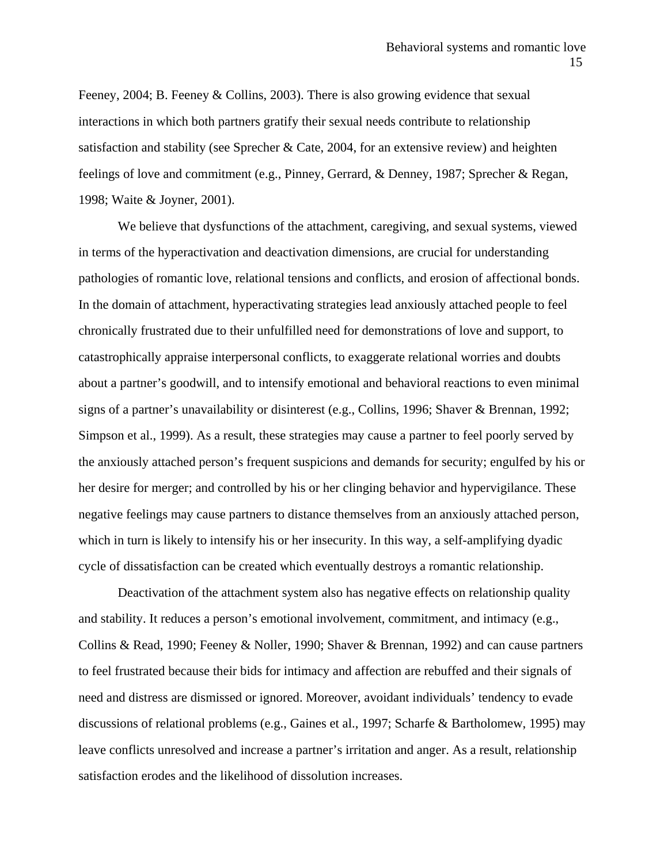Feeney, 2004; B. Feeney & Collins, 2003). There is also growing evidence that sexual interactions in which both partners gratify their sexual needs contribute to relationship satisfaction and stability (see Sprecher & Cate, 2004, for an extensive review) and heighten feelings of love and commitment (e.g., Pinney, Gerrard, & Denney, 1987; Sprecher & Regan, 1998; Waite & Joyner, 2001).

We believe that dysfunctions of the attachment, caregiving, and sexual systems, viewed in terms of the hyperactivation and deactivation dimensions, are crucial for understanding pathologies of romantic love, relational tensions and conflicts, and erosion of affectional bonds. In the domain of attachment, hyperactivating strategies lead anxiously attached people to feel chronically frustrated due to their unfulfilled need for demonstrations of love and support, to catastrophically appraise interpersonal conflicts, to exaggerate relational worries and doubts about a partner's goodwill, and to intensify emotional and behavioral reactions to even minimal signs of a partner's unavailability or disinterest (e.g., Collins, 1996; Shaver & Brennan, 1992; Simpson et al., 1999). As a result, these strategies may cause a partner to feel poorly served by the anxiously attached person's frequent suspicions and demands for security; engulfed by his or her desire for merger; and controlled by his or her clinging behavior and hypervigilance. These negative feelings may cause partners to distance themselves from an anxiously attached person, which in turn is likely to intensify his or her insecurity. In this way, a self-amplifying dyadic cycle of dissatisfaction can be created which eventually destroys a romantic relationship.

Deactivation of the attachment system also has negative effects on relationship quality and stability. It reduces a person's emotional involvement, commitment, and intimacy (e.g., Collins & Read, 1990; Feeney & Noller, 1990; Shaver & Brennan, 1992) and can cause partners to feel frustrated because their bids for intimacy and affection are rebuffed and their signals of need and distress are dismissed or ignored. Moreover, avoidant individuals' tendency to evade discussions of relational problems (e.g., Gaines et al., 1997; Scharfe & Bartholomew, 1995) may leave conflicts unresolved and increase a partner's irritation and anger. As a result, relationship satisfaction erodes and the likelihood of dissolution increases.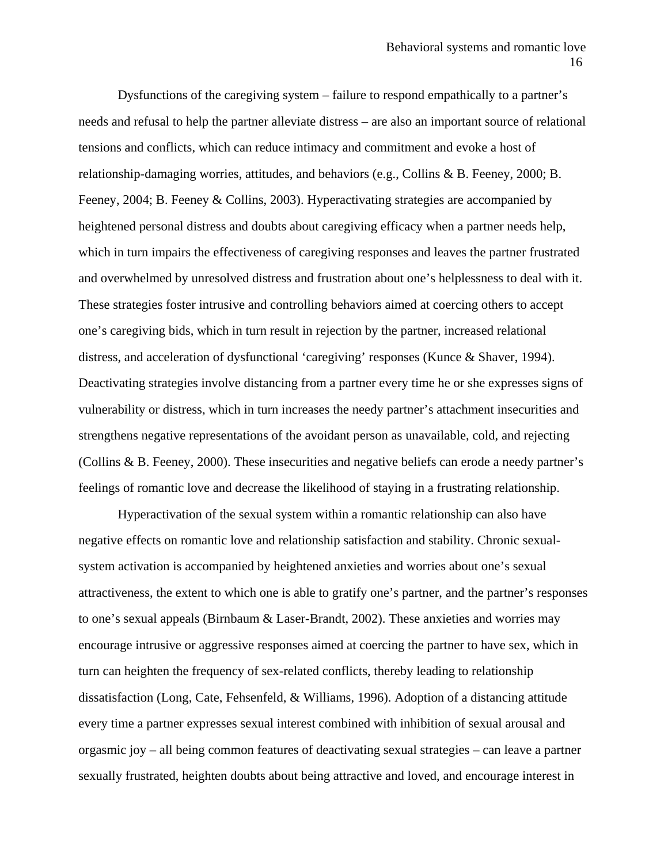Dysfunctions of the caregiving system – failure to respond empathically to a partner's needs and refusal to help the partner alleviate distress – are also an important source of relational tensions and conflicts, which can reduce intimacy and commitment and evoke a host of relationship-damaging worries, attitudes, and behaviors (e.g., Collins & B. Feeney, 2000; B. Feeney, 2004; B. Feeney & Collins, 2003). Hyperactivating strategies are accompanied by heightened personal distress and doubts about caregiving efficacy when a partner needs help, which in turn impairs the effectiveness of caregiving responses and leaves the partner frustrated and overwhelmed by unresolved distress and frustration about one's helplessness to deal with it. These strategies foster intrusive and controlling behaviors aimed at coercing others to accept one's caregiving bids, which in turn result in rejection by the partner, increased relational distress, and acceleration of dysfunctional 'caregiving' responses (Kunce & Shaver, 1994). Deactivating strategies involve distancing from a partner every time he or she expresses signs of vulnerability or distress, which in turn increases the needy partner's attachment insecurities and strengthens negative representations of the avoidant person as unavailable, cold, and rejecting (Collins & B. Feeney, 2000). These insecurities and negative beliefs can erode a needy partner's feelings of romantic love and decrease the likelihood of staying in a frustrating relationship.

Hyperactivation of the sexual system within a romantic relationship can also have negative effects on romantic love and relationship satisfaction and stability. Chronic sexualsystem activation is accompanied by heightened anxieties and worries about one's sexual attractiveness, the extent to which one is able to gratify one's partner, and the partner's responses to one's sexual appeals (Birnbaum & Laser-Brandt, 2002). These anxieties and worries may encourage intrusive or aggressive responses aimed at coercing the partner to have sex, which in turn can heighten the frequency of sex-related conflicts, thereby leading to relationship dissatisfaction (Long, Cate, Fehsenfeld, & Williams, 1996). Adoption of a distancing attitude every time a partner expresses sexual interest combined with inhibition of sexual arousal and orgasmic joy – all being common features of deactivating sexual strategies – can leave a partner sexually frustrated, heighten doubts about being attractive and loved, and encourage interest in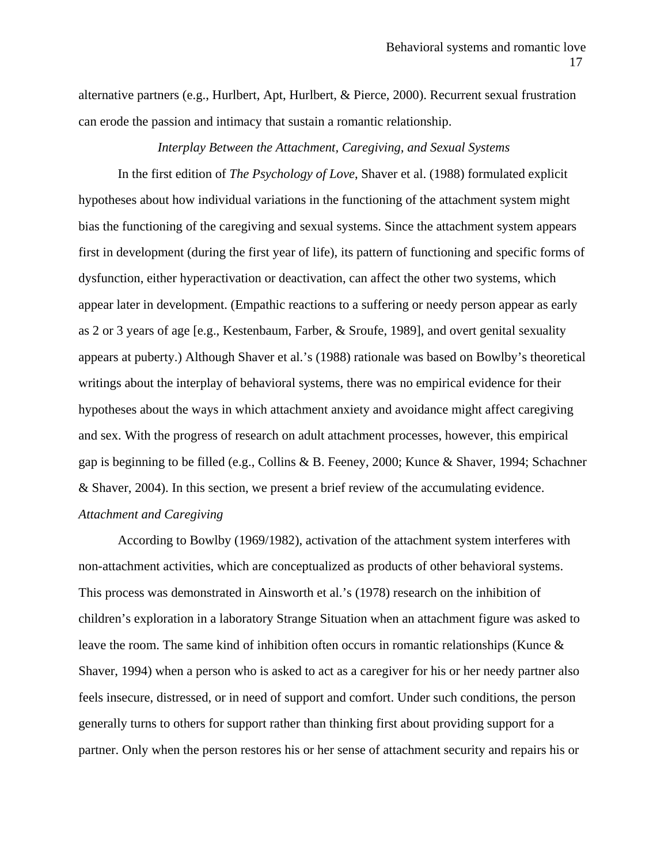alternative partners (e.g., Hurlbert, Apt, Hurlbert, & Pierce, 2000). Recurrent sexual frustration can erode the passion and intimacy that sustain a romantic relationship.

# *Interplay Between the Attachment, Caregiving, and Sexual Systems*

In the first edition of *The Psychology of Love*, Shaver et al. (1988) formulated explicit hypotheses about how individual variations in the functioning of the attachment system might bias the functioning of the caregiving and sexual systems. Since the attachment system appears first in development (during the first year of life), its pattern of functioning and specific forms of dysfunction, either hyperactivation or deactivation, can affect the other two systems, which appear later in development. (Empathic reactions to a suffering or needy person appear as early as 2 or 3 years of age [e.g., Kestenbaum, Farber, & Sroufe, 1989], and overt genital sexuality appears at puberty.) Although Shaver et al.'s (1988) rationale was based on Bowlby's theoretical writings about the interplay of behavioral systems, there was no empirical evidence for their hypotheses about the ways in which attachment anxiety and avoidance might affect caregiving and sex. With the progress of research on adult attachment processes, however, this empirical gap is beginning to be filled (e.g., Collins & B. Feeney, 2000; Kunce & Shaver, 1994; Schachner & Shaver, 2004). In this section, we present a brief review of the accumulating evidence. *Attachment and Caregiving* 

According to Bowlby (1969/1982), activation of the attachment system interferes with non-attachment activities, which are conceptualized as products of other behavioral systems. This process was demonstrated in Ainsworth et al.'s (1978) research on the inhibition of children's exploration in a laboratory Strange Situation when an attachment figure was asked to leave the room. The same kind of inhibition often occurs in romantic relationships (Kunce & Shaver, 1994) when a person who is asked to act as a caregiver for his or her needy partner also feels insecure, distressed, or in need of support and comfort. Under such conditions, the person generally turns to others for support rather than thinking first about providing support for a partner. Only when the person restores his or her sense of attachment security and repairs his or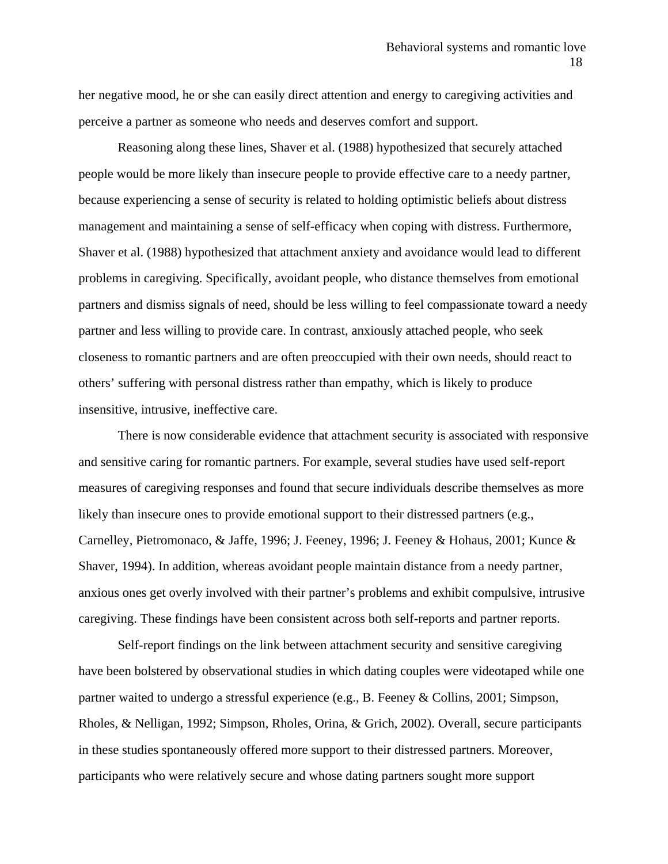her negative mood, he or she can easily direct attention and energy to caregiving activities and perceive a partner as someone who needs and deserves comfort and support.

Reasoning along these lines, Shaver et al. (1988) hypothesized that securely attached people would be more likely than insecure people to provide effective care to a needy partner, because experiencing a sense of security is related to holding optimistic beliefs about distress management and maintaining a sense of self-efficacy when coping with distress. Furthermore, Shaver et al. (1988) hypothesized that attachment anxiety and avoidance would lead to different problems in caregiving. Specifically, avoidant people, who distance themselves from emotional partners and dismiss signals of need, should be less willing to feel compassionate toward a needy partner and less willing to provide care. In contrast, anxiously attached people, who seek closeness to romantic partners and are often preoccupied with their own needs, should react to others' suffering with personal distress rather than empathy, which is likely to produce insensitive, intrusive, ineffective care.

There is now considerable evidence that attachment security is associated with responsive and sensitive caring for romantic partners. For example, several studies have used self-report measures of caregiving responses and found that secure individuals describe themselves as more likely than insecure ones to provide emotional support to their distressed partners (e.g., Carnelley, Pietromonaco, & Jaffe, 1996; J. Feeney, 1996; J. Feeney & Hohaus, 2001; Kunce & Shaver, 1994). In addition, whereas avoidant people maintain distance from a needy partner, anxious ones get overly involved with their partner's problems and exhibit compulsive, intrusive caregiving. These findings have been consistent across both self-reports and partner reports.

Self-report findings on the link between attachment security and sensitive caregiving have been bolstered by observational studies in which dating couples were videotaped while one partner waited to undergo a stressful experience (e.g., B. Feeney & Collins, 2001; Simpson, Rholes, & Nelligan, 1992; Simpson, Rholes, Orina, & Grich, 2002). Overall, secure participants in these studies spontaneously offered more support to their distressed partners. Moreover, participants who were relatively secure and whose dating partners sought more support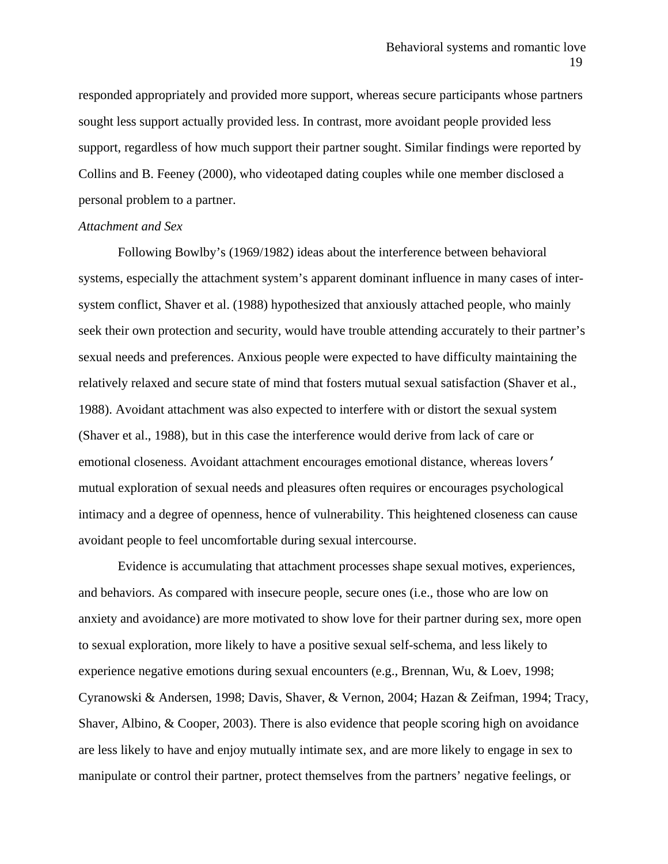responded appropriately and provided more support, whereas secure participants whose partners sought less support actually provided less. In contrast, more avoidant people provided less support, regardless of how much support their partner sought. Similar findings were reported by Collins and B. Feeney (2000), who videotaped dating couples while one member disclosed a personal problem to a partner.

## *Attachment and Sex*

Following Bowlby's (1969/1982) ideas about the interference between behavioral systems, especially the attachment system's apparent dominant influence in many cases of intersystem conflict, Shaver et al. (1988) hypothesized that anxiously attached people, who mainly seek their own protection and security, would have trouble attending accurately to their partner's sexual needs and preferences. Anxious people were expected to have difficulty maintaining the relatively relaxed and secure state of mind that fosters mutual sexual satisfaction (Shaver et al., 1988). Avoidant attachment was also expected to interfere with or distort the sexual system (Shaver et al., 1988), but in this case the interference would derive from lack of care or emotional closeness. Avoidant attachment encourages emotional distance, whereas lovers' mutual exploration of sexual needs and pleasures often requires or encourages psychological intimacy and a degree of openness, hence of vulnerability. This heightened closeness can cause avoidant people to feel uncomfortable during sexual intercourse.

Evidence is accumulating that attachment processes shape sexual motives, experiences, and behaviors. As compared with insecure people, secure ones (i.e., those who are low on anxiety and avoidance) are more motivated to show love for their partner during sex, more open to sexual exploration, more likely to have a positive sexual self-schema, and less likely to experience negative emotions during sexual encounters (e.g., Brennan, Wu, & Loev, 1998; Cyranowski & Andersen, 1998; Davis, Shaver, & Vernon, 2004; Hazan & Zeifman, 1994; Tracy, Shaver, Albino, & Cooper, 2003). There is also evidence that people scoring high on avoidance are less likely to have and enjoy mutually intimate sex, and are more likely to engage in sex to manipulate or control their partner, protect themselves from the partners' negative feelings, or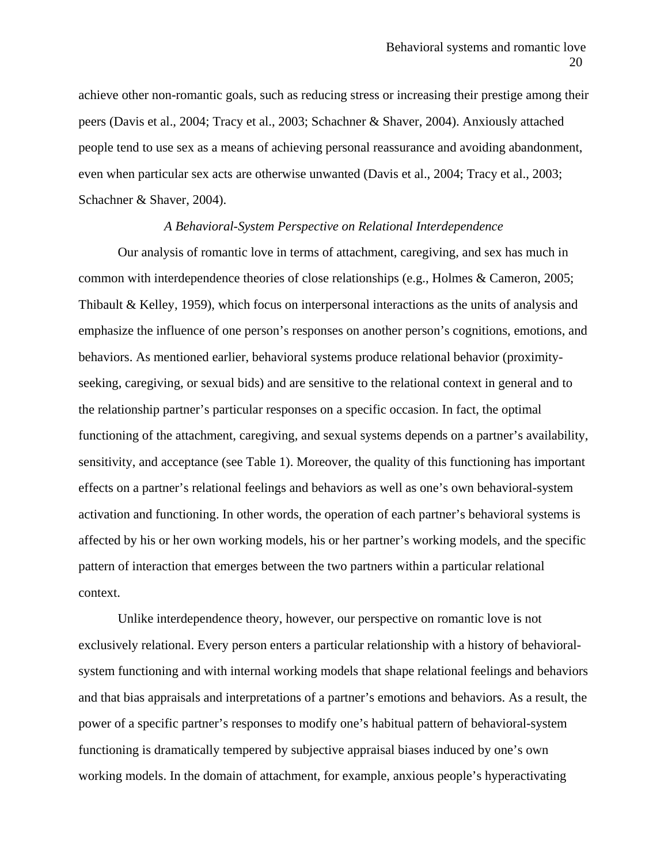achieve other non-romantic goals, such as reducing stress or increasing their prestige among their peers (Davis et al., 2004; Tracy et al., 2003; Schachner & Shaver, 2004). Anxiously attached people tend to use sex as a means of achieving personal reassurance and avoiding abandonment, even when particular sex acts are otherwise unwanted (Davis et al., 2004; Tracy et al., 2003; Schachner & Shaver, 2004).

#### *A Behavioral-System Perspective on Relational Interdependence*

Our analysis of romantic love in terms of attachment, caregiving, and sex has much in common with interdependence theories of close relationships (e.g., Holmes & Cameron, 2005; Thibault & Kelley, 1959), which focus on interpersonal interactions as the units of analysis and emphasize the influence of one person's responses on another person's cognitions, emotions, and behaviors. As mentioned earlier, behavioral systems produce relational behavior (proximityseeking, caregiving, or sexual bids) and are sensitive to the relational context in general and to the relationship partner's particular responses on a specific occasion. In fact, the optimal functioning of the attachment, caregiving, and sexual systems depends on a partner's availability, sensitivity, and acceptance (see Table 1). Moreover, the quality of this functioning has important effects on a partner's relational feelings and behaviors as well as one's own behavioral-system activation and functioning. In other words, the operation of each partner's behavioral systems is affected by his or her own working models, his or her partner's working models, and the specific pattern of interaction that emerges between the two partners within a particular relational context.

Unlike interdependence theory, however, our perspective on romantic love is not exclusively relational. Every person enters a particular relationship with a history of behavioralsystem functioning and with internal working models that shape relational feelings and behaviors and that bias appraisals and interpretations of a partner's emotions and behaviors. As a result, the power of a specific partner's responses to modify one's habitual pattern of behavioral-system functioning is dramatically tempered by subjective appraisal biases induced by one's own working models. In the domain of attachment, for example, anxious people's hyperactivating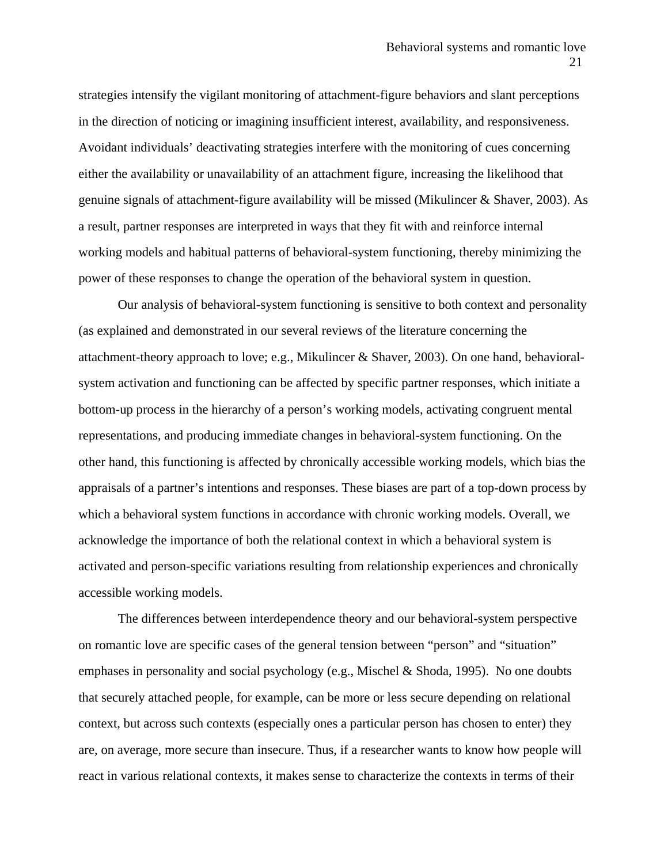strategies intensify the vigilant monitoring of attachment-figure behaviors and slant perceptions in the direction of noticing or imagining insufficient interest, availability, and responsiveness. Avoidant individuals' deactivating strategies interfere with the monitoring of cues concerning either the availability or unavailability of an attachment figure, increasing the likelihood that genuine signals of attachment-figure availability will be missed (Mikulincer & Shaver, 2003). As a result, partner responses are interpreted in ways that they fit with and reinforce internal working models and habitual patterns of behavioral-system functioning, thereby minimizing the power of these responses to change the operation of the behavioral system in question.

Our analysis of behavioral-system functioning is sensitive to both context and personality (as explained and demonstrated in our several reviews of the literature concerning the attachment-theory approach to love; e.g., Mikulincer & Shaver, 2003). On one hand, behavioralsystem activation and functioning can be affected by specific partner responses, which initiate a bottom-up process in the hierarchy of a person's working models, activating congruent mental representations, and producing immediate changes in behavioral-system functioning. On the other hand, this functioning is affected by chronically accessible working models, which bias the appraisals of a partner's intentions and responses. These biases are part of a top-down process by which a behavioral system functions in accordance with chronic working models. Overall, we acknowledge the importance of both the relational context in which a behavioral system is activated and person-specific variations resulting from relationship experiences and chronically accessible working models.

The differences between interdependence theory and our behavioral-system perspective on romantic love are specific cases of the general tension between "person" and "situation" emphases in personality and social psychology (e.g., Mischel & Shoda, 1995). No one doubts that securely attached people, for example, can be more or less secure depending on relational context, but across such contexts (especially ones a particular person has chosen to enter) they are, on average, more secure than insecure. Thus, if a researcher wants to know how people will react in various relational contexts, it makes sense to characterize the contexts in terms of their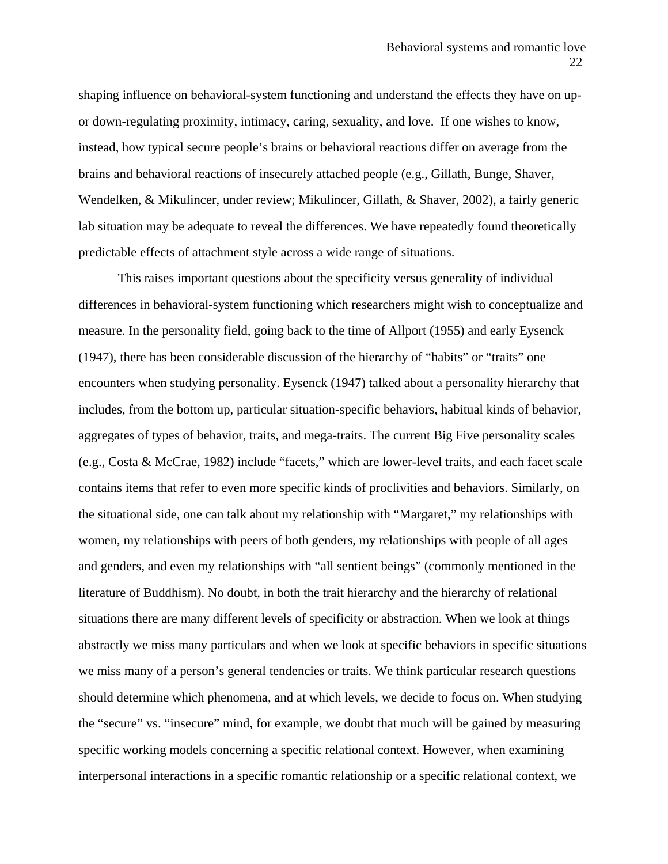shaping influence on behavioral-system functioning and understand the effects they have on upor down-regulating proximity, intimacy, caring, sexuality, and love. If one wishes to know, instead, how typical secure people's brains or behavioral reactions differ on average from the brains and behavioral reactions of insecurely attached people (e.g., Gillath, Bunge, Shaver, Wendelken, & Mikulincer, under review; Mikulincer, Gillath, & Shaver, 2002), a fairly generic lab situation may be adequate to reveal the differences. We have repeatedly found theoretically predictable effects of attachment style across a wide range of situations.

This raises important questions about the specificity versus generality of individual differences in behavioral-system functioning which researchers might wish to conceptualize and measure. In the personality field, going back to the time of Allport (1955) and early Eysenck (1947), there has been considerable discussion of the hierarchy of "habits" or "traits" one encounters when studying personality. Eysenck (1947) talked about a personality hierarchy that includes, from the bottom up, particular situation-specific behaviors, habitual kinds of behavior, aggregates of types of behavior, traits, and mega-traits. The current Big Five personality scales (e.g., Costa & McCrae, 1982) include "facets," which are lower-level traits, and each facet scale contains items that refer to even more specific kinds of proclivities and behaviors. Similarly, on the situational side, one can talk about my relationship with "Margaret," my relationships with women, my relationships with peers of both genders, my relationships with people of all ages and genders, and even my relationships with "all sentient beings" (commonly mentioned in the literature of Buddhism). No doubt, in both the trait hierarchy and the hierarchy of relational situations there are many different levels of specificity or abstraction. When we look at things abstractly we miss many particulars and when we look at specific behaviors in specific situations we miss many of a person's general tendencies or traits. We think particular research questions should determine which phenomena, and at which levels, we decide to focus on. When studying the "secure" vs. "insecure" mind, for example, we doubt that much will be gained by measuring specific working models concerning a specific relational context. However, when examining interpersonal interactions in a specific romantic relationship or a specific relational context, we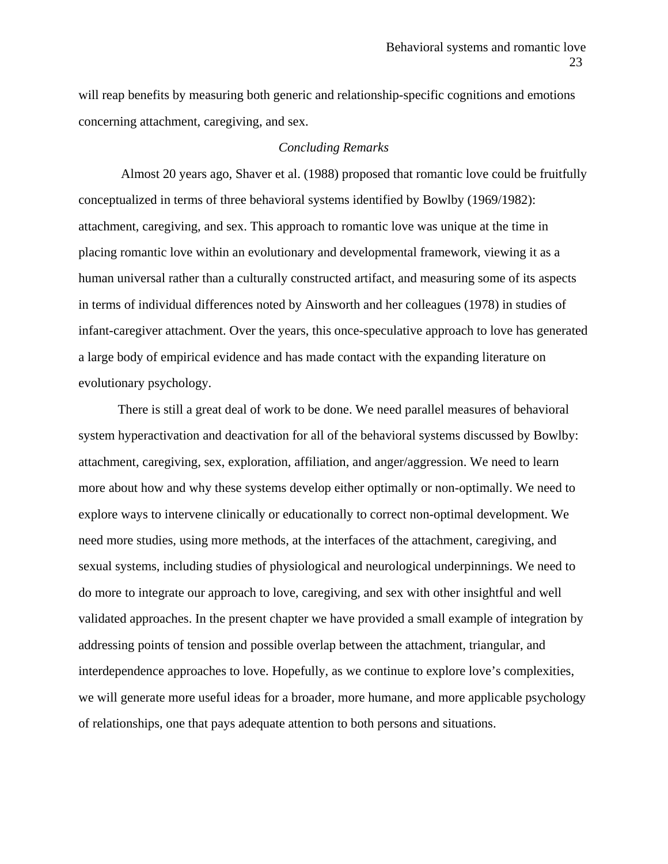will reap benefits by measuring both generic and relationship-specific cognitions and emotions concerning attachment, caregiving, and sex.

#### *Concluding Remarks*

 Almost 20 years ago, Shaver et al. (1988) proposed that romantic love could be fruitfully conceptualized in terms of three behavioral systems identified by Bowlby (1969/1982): attachment, caregiving, and sex. This approach to romantic love was unique at the time in placing romantic love within an evolutionary and developmental framework, viewing it as a human universal rather than a culturally constructed artifact, and measuring some of its aspects in terms of individual differences noted by Ainsworth and her colleagues (1978) in studies of infant-caregiver attachment. Over the years, this once-speculative approach to love has generated a large body of empirical evidence and has made contact with the expanding literature on evolutionary psychology.

There is still a great deal of work to be done. We need parallel measures of behavioral system hyperactivation and deactivation for all of the behavioral systems discussed by Bowlby: attachment, caregiving, sex, exploration, affiliation, and anger/aggression. We need to learn more about how and why these systems develop either optimally or non-optimally. We need to explore ways to intervene clinically or educationally to correct non-optimal development. We need more studies, using more methods, at the interfaces of the attachment, caregiving, and sexual systems, including studies of physiological and neurological underpinnings. We need to do more to integrate our approach to love, caregiving, and sex with other insightful and well validated approaches. In the present chapter we have provided a small example of integration by addressing points of tension and possible overlap between the attachment, triangular, and interdependence approaches to love. Hopefully, as we continue to explore love's complexities, we will generate more useful ideas for a broader, more humane, and more applicable psychology of relationships, one that pays adequate attention to both persons and situations.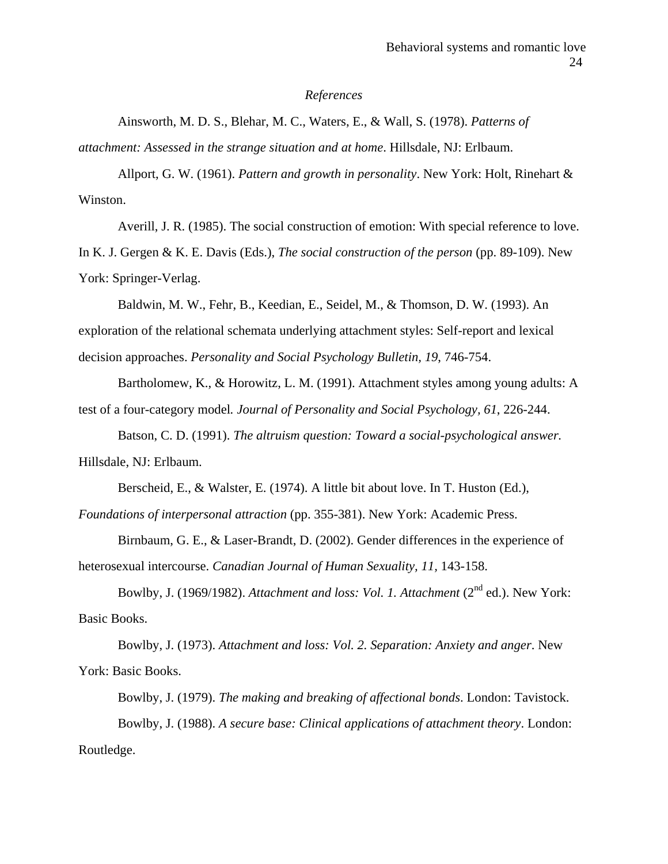## *References*

Ainsworth, M. D. S., Blehar, M. C., Waters, E., & Wall, S. (1978). *Patterns of attachment: Assessed in the strange situation and at home*. Hillsdale, NJ: Erlbaum.

Allport, G. W. (1961). *Pattern and growth in personality*. New York: Holt, Rinehart & Winston.

Averill, J. R. (1985). The social construction of emotion: With special reference to love. In K. J. Gergen & K. E. Davis (Eds.), *The social construction of the person* (pp. 89-109). New York: Springer-Verlag.

Baldwin, M. W., Fehr, B., Keedian, E., Seidel, M., & Thomson, D. W. (1993). An exploration of the relational schemata underlying attachment styles: Self-report and lexical decision approaches. *Personality and Social Psychology Bulletin, 19*, 746-754.

Bartholomew, K., & Horowitz, L. M. (1991). Attachment styles among young adults: A test of a four-category model*. Journal of Personality and Social Psychology, 61*, 226-244.

Batson, C. D. (1991). *The altruism question: Toward a social-psychological answer.* Hillsdale, NJ: Erlbaum.

Berscheid, E., & Walster, E. (1974). A little bit about love. In T. Huston (Ed.),

*Foundations of interpersonal attraction* (pp. 355-381). New York: Academic Press.

Birnbaum, G. E., & Laser-Brandt, D. (2002). Gender differences in the experience of heterosexual intercourse. *Canadian Journal of Human Sexuality, 11,* 143-158.

Bowlby, J. (1969/1982). *Attachment and loss: Vol. 1. Attachment* (2<sup>nd</sup> ed.). New York: Basic Books.

Bowlby, J. (1973). *Attachment and loss: Vol. 2. Separation: Anxiety and anger*. New York: Basic Books.

Bowlby, J. (1979). *The making and breaking of affectional bonds*. London: Tavistock. Bowlby, J. (1988). *A secure base: Clinical applications of attachment theory*. London: Routledge.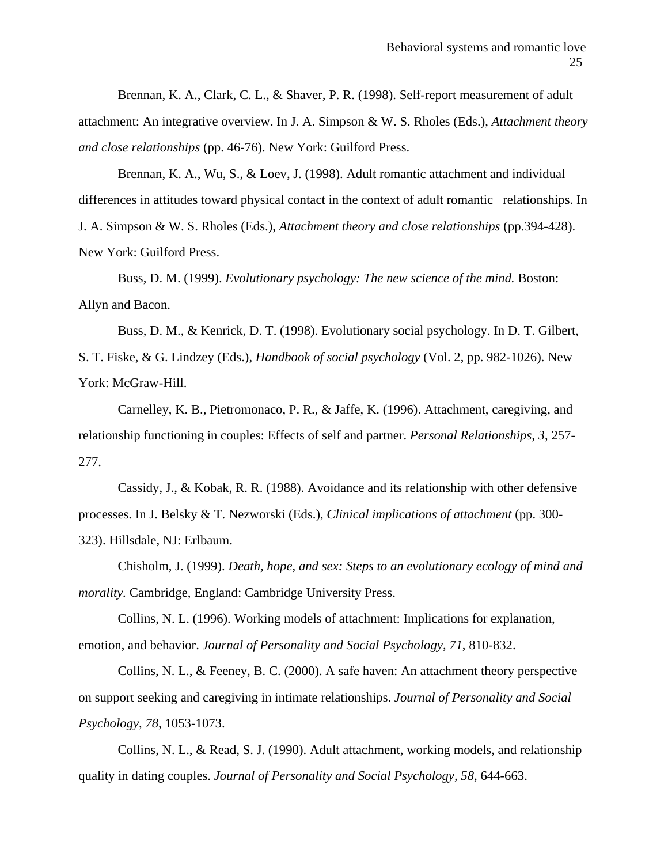Brennan, K. A., Clark, C. L., & Shaver, P. R. (1998). Self-report measurement of adult attachment: An integrative overview. In J. A. Simpson & W. S. Rholes (Eds.), *Attachment theory and close relationships* (pp. 46-76). New York: Guilford Press.

Brennan, K. A., Wu, S., & Loev, J. (1998). Adult romantic attachment and individual differences in attitudes toward physical contact in the context of adult romantic relationships. In J. A. Simpson & W. S. Rholes (Eds.), *Attachment theory and close relationships* (pp.394-428). New York: Guilford Press.

Buss, D. M. (1999). *Evolutionary psychology: The new science of the mind.* Boston: Allyn and Bacon.

Buss, D. M., & Kenrick, D. T. (1998). Evolutionary social psychology. In D. T. Gilbert, S. T. Fiske, & G. Lindzey (Eds.), *Handbook of social psychology* (Vol. 2, pp. 982-1026). New York: McGraw-Hill.

Carnelley, K. B., Pietromonaco, P. R., & Jaffe, K. (1996). Attachment, caregiving, and relationship functioning in couples: Effects of self and partner. *Personal Relationships, 3*, 257- 277.

Cassidy, J., & Kobak, R. R. (1988). Avoidance and its relationship with other defensive processes. In J. Belsky & T. Nezworski (Eds.), *Clinical implications of attachment* (pp. 300- 323). Hillsdale, NJ: Erlbaum.

Chisholm, J. (1999). *Death, hope, and sex: Steps to an evolutionary ecology of mind and morality.* Cambridge, England: Cambridge University Press.

Collins, N. L. (1996). Working models of attachment: Implications for explanation, emotion, and behavior. *Journal of Personality and Social Psychology, 71*, 810-832.

Collins, N. L., & Feeney, B. C. (2000). A safe haven: An attachment theory perspective on support seeking and caregiving in intimate relationships. *Journal of Personality and Social Psychology, 78*, 1053-1073.

Collins, N. L., & Read, S. J. (1990). Adult attachment, working models, and relationship quality in dating couples. *Journal of Personality and Social Psychology, 58*, 644-663.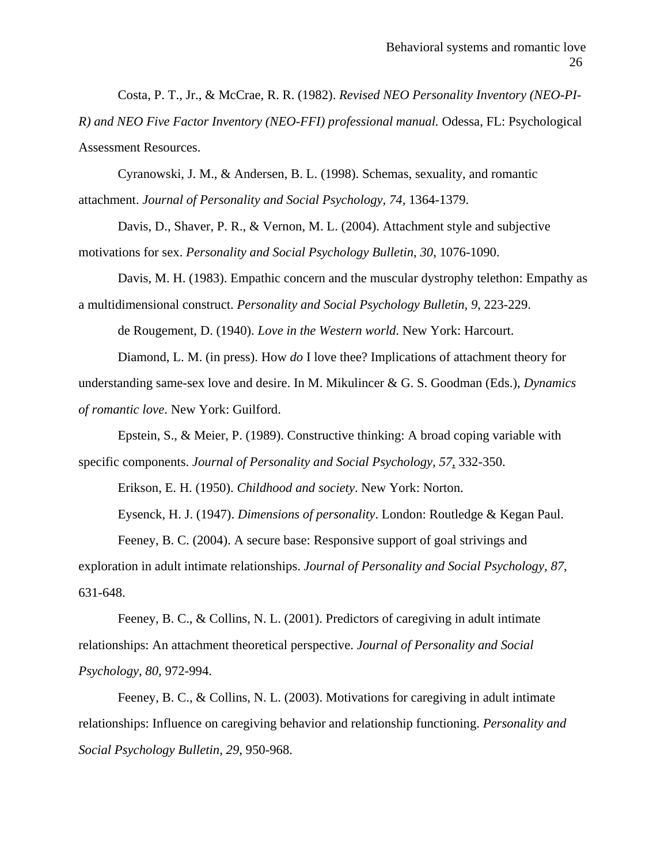Costa, P. T., Jr., & McCrae, R. R. (1982). *Revised NEO Personality Inventory (NEO-PI-*

*R) and NEO Five Factor Inventory (NEO-FFI) professional manual.* Odessa, FL: Psychological Assessment Resources.

Cyranowski, J. M., & Andersen, B. L. (1998). Schemas, sexuality, and romantic attachment. *Journal of Personality and Social Psychology, 74,* 1364-1379.

Davis, D., Shaver, P. R., & Vernon, M. L. (2004). Attachment style and subjective motivations for sex. *Personality and Social Psychology Bulletin*, *30*, 1076-1090.

Davis, M. H. (1983). Empathic concern and the muscular dystrophy telethon: Empathy as a multidimensional construct. *Personality and Social Psychology Bulletin, 9*, 223-229.

de Rougement, D. (1940). *Love in the Western world*. New York: Harcourt.

Diamond, L. M. (in press). How *do* I love thee? Implications of attachment theory for understanding same-sex love and desire. In M. Mikulincer & G. S. Goodman (Eds.), *Dynamics of romantic love*. New York: Guilford.

Epstein, S., & Meier, P. (1989). Constructive thinking: A broad coping variable with specific components. *Journal of Personality and Social Psychology, 57*, 332-350.

Erikson, E. H. (1950). *Childhood and society*. New York: Norton.

Eysenck, H. J. (1947). *Dimensions of personality*. London: Routledge & Kegan Paul.

Feeney, B. C. (2004). A secure base: Responsive support of goal strivings and exploration in adult intimate relationships. *Journal of Personality and Social Psychology, 87*, 631-648.

Feeney, B. C., & Collins, N. L. (2001). Predictors of caregiving in adult intimate relationships: An attachment theoretical perspective. *Journal of Personality and Social Psychology, 80,* 972-994.

Feeney, B. C., & Collins, N. L. (2003). Motivations for caregiving in adult intimate relationships: Influence on caregiving behavior and relationship functioning. *Personality and Social Psychology Bulletin, 29*, 950-968.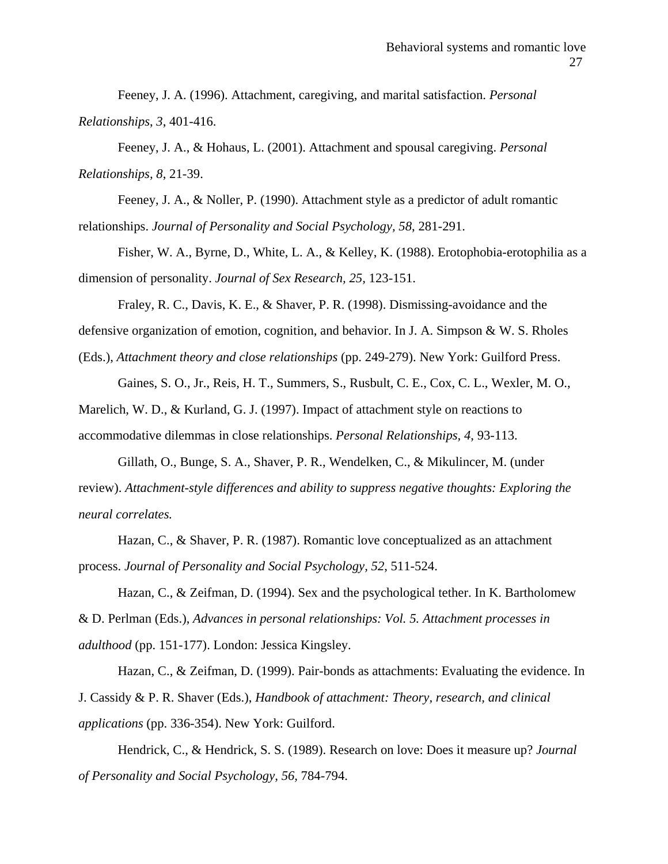Feeney, J. A. (1996). Attachment, caregiving, and marital satisfaction. *Personal Relationships*, *3*, 401-416.

Feeney, J. A., & Hohaus, L. (2001). Attachment and spousal caregiving. *Personal Relationships, 8*, 21-39.

Feeney, J. A., & Noller, P. (1990). Attachment style as a predictor of adult romantic relationships. *Journal of Personality and Social Psychology, 58*, 281-291.

Fisher, W. A., Byrne, D., White, L. A., & Kelley, K. (1988). Erotophobia-erotophilia as a dimension of personality. *Journal of Sex Research, 25,* 123-151.

Fraley, R. C., Davis, K. E., & Shaver, P. R. (1998). Dismissing-avoidance and the defensive organization of emotion, cognition, and behavior. In J. A. Simpson & W. S. Rholes (Eds.), *Attachment theory and close relationships* (pp. 249-279). New York: Guilford Press.

Gaines, S. O., Jr., Reis, H. T., Summers, S., Rusbult, C. E., Cox, C. L., Wexler, M. O.,

Marelich, W. D., & Kurland, G. J. (1997). Impact of attachment style on reactions to accommodative dilemmas in close relationships. *Personal Relationships, 4*, 93-113.

Gillath, O., Bunge, S. A., Shaver, P. R., Wendelken, C., & Mikulincer, M. (under review). *Attachment-style differences and ability to suppress negative thoughts: Exploring the neural correlates.*

Hazan, C., & Shaver, P. R. (1987). Romantic love conceptualized as an attachment process. *Journal of Personality and Social Psychology, 52*, 511-524.

Hazan, C., & Zeifman, D. (1994). Sex and the psychological tether. In K. Bartholomew & D. Perlman (Eds.), *Advances in personal relationships: Vol. 5. Attachment processes in adulthood* (pp. 151-177). London: Jessica Kingsley.

Hazan, C., & Zeifman, D. (1999). Pair-bonds as attachments: Evaluating the evidence. In J. Cassidy & P. R. Shaver (Eds.), *Handbook of attachment: Theory, research, and clinical applications* (pp. 336-354). New York: Guilford.

Hendrick, C., & Hendrick, S. S. (1989). Research on love: Does it measure up? *Journal of Personality and Social Psychology, 56,* 784-794.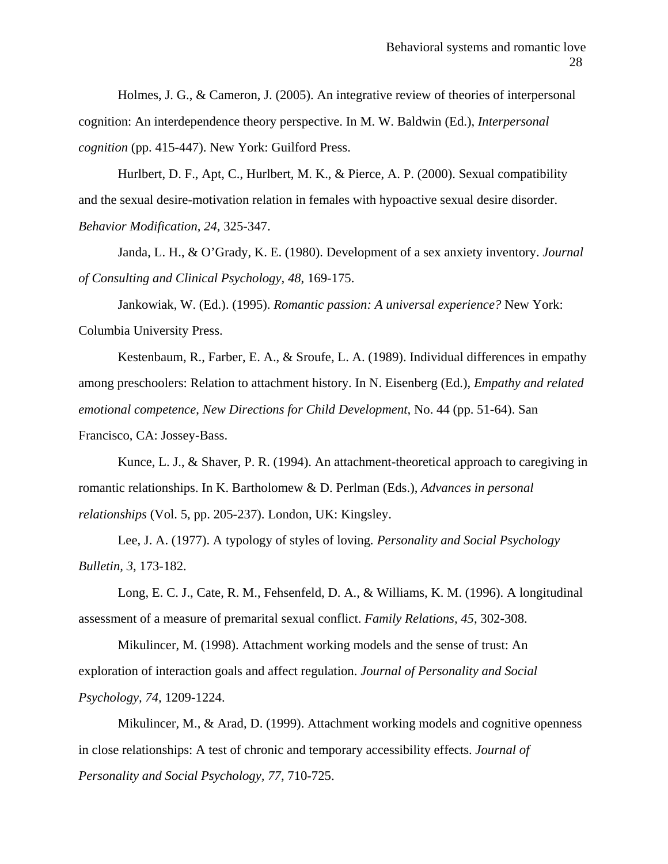Holmes, J. G., & Cameron, J. (2005). An integrative review of theories of interpersonal cognition: An interdependence theory perspective. In M. W. Baldwin (Ed.), *Interpersonal cognition* (pp. 415-447). New York: Guilford Press.

Hurlbert, D. F., Apt, C., Hurlbert, M. K., & Pierce, A. P. (2000). Sexual compatibility and the sexual desire-motivation relation in females with hypoactive sexual desire disorder. *Behavior Modification, 24*, 325-347.

Janda, L. H., & O'Grady, K. E. (1980). Development of a sex anxiety inventory. *Journal of Consulting and Clinical Psychology, 48*, 169-175.

Jankowiak, W. (Ed.). (1995). *Romantic passion: A universal experience?* New York: Columbia University Press.

Kestenbaum, R., Farber, E. A., & Sroufe, L. A. (1989). Individual differences in empathy among preschoolers: Relation to attachment history. In N. Eisenberg (Ed.), *Empathy and related emotional competence*, *New Directions for Child Development*, No. 44 (pp. 51-64). San Francisco, CA: Jossey-Bass.

Kunce, L. J., & Shaver, P. R. (1994). An attachment-theoretical approach to caregiving in romantic relationships. In K. Bartholomew & D. Perlman (Eds.), *Advances in personal relationships* (Vol. 5, pp. 205-237). London, UK: Kingsley.

Lee, J. A. (1977). A typology of styles of loving*. Personality and Social Psychology Bulletin, 3*, 173-182.

Long, E. C. J., Cate, R. M., Fehsenfeld, D. A., & Williams, K. M. (1996). A longitudinal assessment of a measure of premarital sexual conflict. *Family Relations, 45*, 302-308.

Mikulincer, M. (1998). Attachment working models and the sense of trust: An exploration of interaction goals and affect regulation. *Journal of Personality and Social Psychology, 74,* 1209-1224.

Mikulincer, M., & Arad, D. (1999). Attachment working models and cognitive openness in close relationships: A test of chronic and temporary accessibility effects. *Journal of Personality and Social Psychology, 77,* 710-725.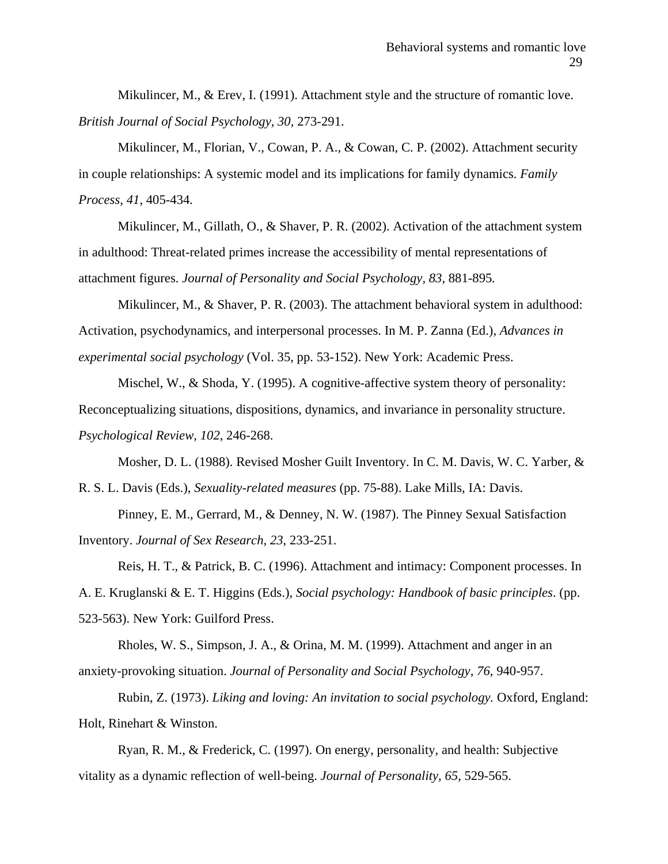Mikulincer, M., & Erev, I. (1991). Attachment style and the structure of romantic love. *British Journal of Social Psychology, 30,* 273-291.

Mikulincer, M., Florian, V., Cowan, P. A., & Cowan, C. P. (2002). Attachment security in couple relationships: A systemic model and its implications for family dynamics. *Family Process, 41*, 405-434*.* 

Mikulincer, M., Gillath, O., & Shaver, P. R. (2002). Activation of the attachment system in adulthood: Threat-related primes increase the accessibility of mental representations of attachment figures. *Journal of Personality and Social Psychology, 83,* 881-895*.* 

Mikulincer, M., & Shaver, P. R. (2003). The attachment behavioral system in adulthood: Activation, psychodynamics, and interpersonal processes. In M. P. Zanna (Ed.), *Advances in experimental social psychology* (Vol. 35, pp. 53-152). New York: Academic Press.

Mischel, W., & Shoda, Y. (1995). A cognitive-affective system theory of personality: Reconceptualizing situations, dispositions, dynamics, and invariance in personality structure. *Psychological Review, 102*, 246-268.

Mosher, D. L. (1988). Revised Mosher Guilt Inventory. In C. M. Davis, W. C. Yarber, & R. S. L. Davis (Eds.), *Sexuality-related measures* (pp. 75-88). Lake Mills, IA: Davis.

Pinney, E. M., Gerrard, M., & Denney, N. W. (1987). The Pinney Sexual Satisfaction Inventory. *Journal of Sex Research, 23*, 233-251.

Reis, H. T., & Patrick, B. C. (1996). Attachment and intimacy: Component processes. In A. E. Kruglanski & E. T. Higgins (Eds.), *Social psychology: Handbook of basic principles*. (pp. 523-563). New York: Guilford Press.

Rholes, W. S., Simpson, J. A., & Orina, M. M. (1999). Attachment and anger in an anxiety-provoking situation. *Journal of Personality and Social Psychology, 76*, 940-957.

Rubin, Z. (1973). *Liking and loving: An invitation to social psychology.* Oxford, England: Holt, Rinehart & Winston.

Ryan, R. M., & Frederick, C. (1997). On energy, personality, and health: Subjective vitality as a dynamic reflection of well-being. *Journal of Personality, 65*, 529-565.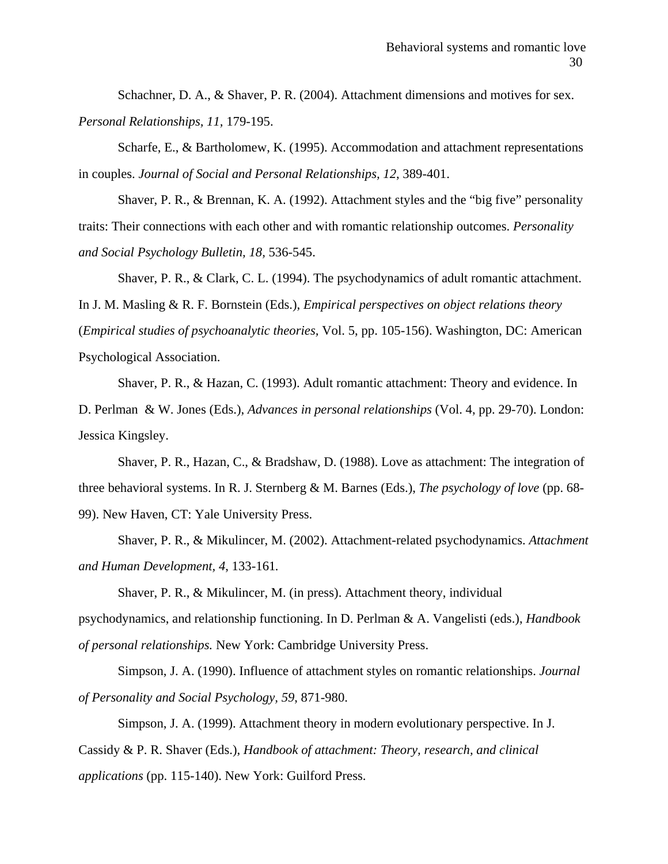Schachner, D. A., & Shaver, P. R. (2004). Attachment dimensions and motives for sex. *Personal Relationships, 11,* 179-195.

Scharfe, E., & Bartholomew, K. (1995). Accommodation and attachment representations in couples. *Journal of Social and Personal Relationships, 12*, 389-401.

Shaver, P. R., & Brennan, K. A. (1992). Attachment styles and the "big five" personality traits: Their connections with each other and with romantic relationship outcomes. *Personality and Social Psychology Bulletin, 18,* 536-545.

Shaver, P. R., & Clark, C. L. (1994). The psychodynamics of adult romantic attachment. In J. M. Masling & R. F. Bornstein (Eds.), *Empirical perspectives on object relations theory*  (*Empirical studies of psychoanalytic theories,* Vol. 5, pp. 105-156). Washington, DC: American Psychological Association.

Shaver, P. R., & Hazan, C. (1993). Adult romantic attachment: Theory and evidence. In D. Perlman & W. Jones (Eds.), *Advances in personal relationships* (Vol. 4, pp. 29-70). London: Jessica Kingsley.

Shaver, P. R., Hazan, C., & Bradshaw, D. (1988). Love as attachment: The integration of three behavioral systems. In R. J. Sternberg & M. Barnes (Eds.), *The psychology of love* (pp. 68- 99). New Haven, CT: Yale University Press.

Shaver, P. R., & Mikulincer, M. (2002). Attachment-related psychodynamics. *Attachment and Human Development, 4*, 133-161*.* 

Shaver, P. R., & Mikulincer, M. (in press). Attachment theory, individual psychodynamics, and relationship functioning. In D. Perlman & A. Vangelisti (eds.), *Handbook of personal relationships.* New York: Cambridge University Press.

Simpson, J. A. (1990). Influence of attachment styles on romantic relationships. *Journal of Personality and Social Psychology, 59*, 871-980.

Simpson, J. A. (1999). Attachment theory in modern evolutionary perspective. In J. Cassidy & P. R. Shaver (Eds.), *Handbook of attachment: Theory, research, and clinical applications* (pp. 115-140). New York: Guilford Press.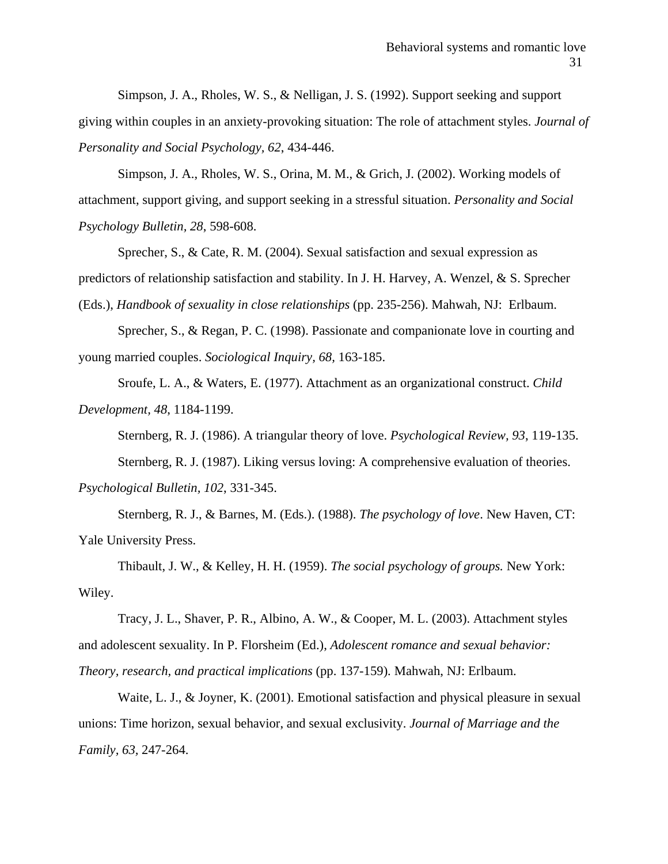Simpson, J. A., Rholes, W. S., & Nelligan, J. S. (1992). Support seeking and support giving within couples in an anxiety-provoking situation: The role of attachment styles. *Journal of Personality and Social Psychology, 62*, 434-446.

Simpson, J. A., Rholes, W. S., Orina, M. M., & Grich, J. (2002). Working models of attachment, support giving, and support seeking in a stressful situation. *Personality and Social Psychology Bulletin, 28*, 598-608.

Sprecher, S., & Cate, R. M. (2004). Sexual satisfaction and sexual expression as predictors of relationship satisfaction and stability. In J. H. Harvey, A. Wenzel, & S. Sprecher (Eds.), *Handbook of sexuality in close relationships* (pp. 235-256). Mahwah, NJ: Erlbaum.

Sprecher, S., & Regan, P. C. (1998). Passionate and companionate love in courting and young married couples. *Sociological Inquiry, 68,* 163-185.

Sroufe, L. A., & Waters, E. (1977). Attachment as an organizational construct. *Child Development, 48*, 1184-1199.

Sternberg, R. J. (1986). A triangular theory of love. *Psychological Review, 93*, 119-135. Sternberg, R. J. (1987). Liking versus loving: A comprehensive evaluation of theories.

*Psychological Bulletin, 102*, 331-345.

Sternberg, R. J., & Barnes, M. (Eds.). (1988). *The psychology of love*. New Haven, CT: Yale University Press.

Thibault, J. W., & Kelley, H. H. (1959). *The social psychology of groups.* New York: Wiley.

Tracy, J. L., Shaver, P. R., Albino, A. W., & Cooper, M. L. (2003). Attachment styles and adolescent sexuality. In P. Florsheim (Ed.), *Adolescent romance and sexual behavior: Theory, research, and practical implications* (pp. 137-159)*.* Mahwah, NJ: Erlbaum.

Waite, L. J., & Joyner, K. (2001). Emotional satisfaction and physical pleasure in sexual unions: Time horizon, sexual behavior, and sexual exclusivity. *Journal of Marriage and the Family, 63,* 247-264.